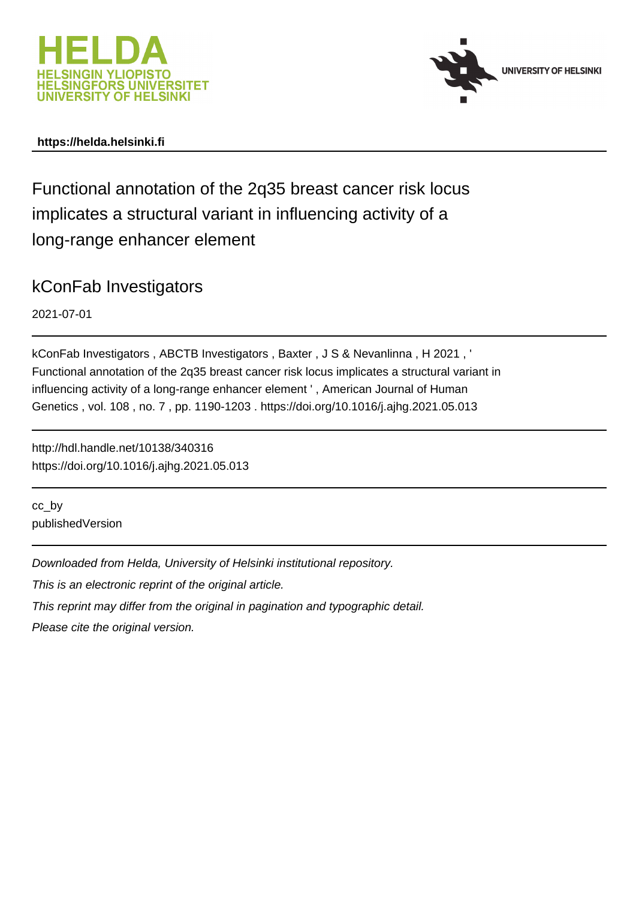



## **https://helda.helsinki.fi**

Functional annotation of the 2q35 breast cancer risk locus implicates a structural variant in influencing activity of a long-range enhancer element

## kConFab Investigators

2021-07-01

kConFab Investigators , ABCTB Investigators , Baxter , J S & Nevanlinna , H 2021 , ' Functional annotation of the 2q35 breast cancer risk locus implicates a structural variant in influencing activity of a long-range enhancer element ' , American Journal of Human Genetics , vol. 108 , no. 7 , pp. 1190-1203 . https://doi.org/10.1016/j.ajhg.2021.05.013

http://hdl.handle.net/10138/340316 https://doi.org/10.1016/j.ajhg.2021.05.013

cc\_by publishedVersion

Downloaded from Helda, University of Helsinki institutional repository.

This is an electronic reprint of the original article.

This reprint may differ from the original in pagination and typographic detail.

Please cite the original version.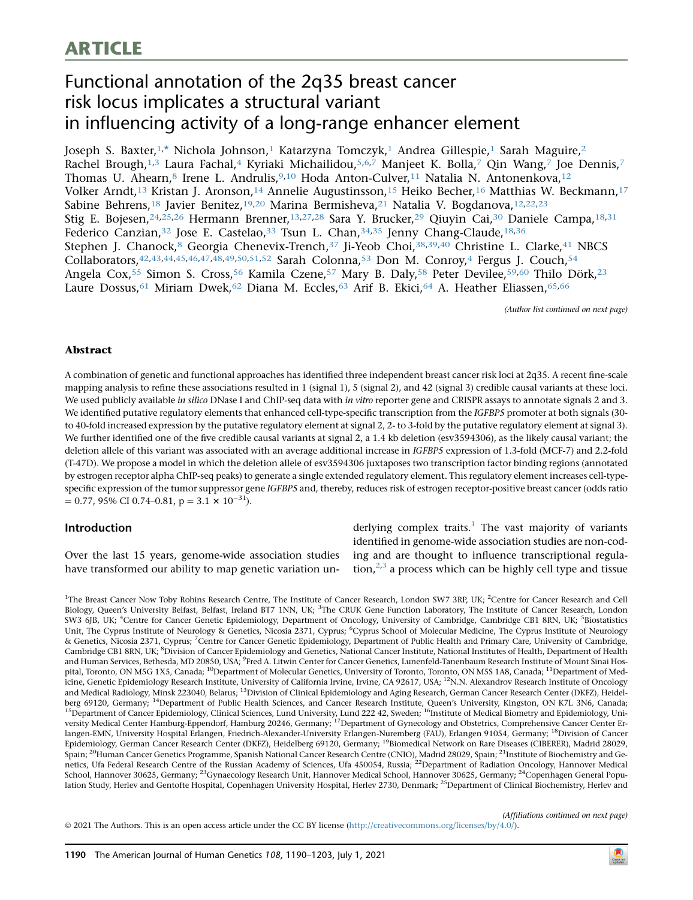# ARTICLE

## Functional annotation of the 2q35 breast cancer risk locus implicates a structural variant in influencing activity of a long-range enhancer element

Joseph S. Baxter,1, \* Nichola Johnson,1 Katarzyna Tomczyk,1 Andrea Gillespie,1 Sarah Maguire,2 Rachel Brough,<sup>1,3</sup> Laura Fachal,<sup>4</sup> Kyriaki Michailidou,<sup>5,6,7</sup> Manjeet K. Bolla,<sup>7</sup> Qin Wang,<sup>7</sup> Joe Dennis,<sup>7</sup> Thomas U. Ahearn,<sup>8</sup> Irene L. Andrulis,<sup>9,10</sup> Hoda Anton-Culver,<sup>11</sup> Natalia N. Antonenkova,<sup>12</sup> Volker Arndt,<sup>13</sup> Kristan J. Aronson,<sup>14</sup> Annelie Augustinsson,<sup>15</sup> Heiko Becher,<sup>16</sup> Matthias W. Beckmann,<sup>17</sup> Sabine Behrens,<sup>18</sup> Javier Benitez,<sup>19,20</sup> Marina Bermisheva,<sup>21</sup> Natalia V. Bogdanova,<sup>12,22,23</sup> Stig E. Bojesen,<sup>24,25,26</sup> Hermann Brenner,<sup>13,27,28</sup> Sara Y. Brucker,<sup>29</sup> Qiuyin Cai,<sup>30</sup> Daniele Campa,<sup>18,31</sup> Federico Canzian,<sup>32</sup> Jose E. Castelao,<sup>33</sup> Tsun L. Chan,<sup>34,35</sup> Jenny Chang-Claude,<sup>18,36</sup> Stephen J. Chanock,<sup>8</sup> Georgia Chenevix-Trench,<sup>37</sup> Ji-Yeob Choi,<sup>38,39,40</sup> Christine L. Clarke,<sup>41</sup> NBCS Collaborators, 42, 43, 44, 45, 46, 47, 48, 49, 50, 51, 52 Sarah Colonna, 53 Don M. Conroy, 4 Fergus J. Couch, 54 Angela Cox,<sup>55</sup> Simon S. Cross,<sup>56</sup> Kamila Czene,<sup>57</sup> Mary B. Daly,<sup>58</sup> Peter Devilee,<sup>59,60</sup> Thilo Dörk,<sup>23</sup> Laure Dossus,<sup>61</sup> Miriam Dwek,<sup>62</sup> Diana M. Eccles,<sup>63</sup> Arif B. Ekici,<sup>64</sup> A. Heather Eliassen,<sup>65,66</sup>

(Author list continued on next page)

### Abstract

A combination of genetic and functional approaches has identified three independent breast cancer risk loci at 2q35. A recent fine-scale mapping analysis to refine these associations resulted in 1 (signal 1), 5 (signal 2), and 42 (signal 3) credible causal variants at these loci. We used publicly available in silico DNase I and ChIP-seq data with in vitro reporter gene and CRISPR assays to annotate signals 2 and 3. We identified putative regulatory elements that enhanced cell-type-specific transcription from the IGFBP5 promoter at both signals (30 to 40-fold increased expression by the putative regulatory element at signal 2, 2- to 3-fold by the putative regulatory element at signal 3). We further identified one of the five credible causal variants at signal 2, a 1.4 kb deletion (esv3594306), as the likely causal variant; the deletion allele of this variant was associated with an average additional increase in IGFBP5 expression of 1.3-fold (MCF-7) and 2.2-fold (T-47D). We propose a model in which the deletion allele of esv3594306 juxtaposes two transcription factor binding regions (annotated by estrogen receptor alpha ChIP-seq peaks) to generate a single extended regulatory element. This regulatory element increases cell-typespecific expression of the tumor suppressor gene IGFBP5 and, thereby, reduces risk of estrogen receptor-positive breast cancer (odds ratio  $= 0.77, 95\% \text{ CI } 0.74 - 0.81, \, p = 3.1 \times 10^{-31}.$ 

#### Introduction

Over the last 15 years, genome-wide association studies have transformed our ability to map genetic variation underlying complex traits.<sup>1</sup> The vast majority of variants identified in genome-wide association studies are non-coding and are thought to influence transcriptional regulation, $2,3$  a process which can be highly cell type and tissue

<sup>1</sup>The Breast Cancer Now Toby Robins Research Centre, The Institute of Cancer Research, London SW7 3RP, UK; <sup>2</sup>Centre for Cancer Research and Cell Biology, Queen's University Belfast, Belfast, Ireland BT7 1NN, UK; <sup>3</sup>The CRUK Gene Function Laboratory, The Institute of Cancer Research, London SW3 6JB, UK; <sup>4</sup>Centre for Cancer Genetic Epidemiology, Department of Oncology, University of Cambridge, Cambridge CB1 8RN, UK; <sup>5</sup>Biostatistics Unit, The Cyprus Institute of Neurology & Genetics, Nicosia 2371, Cyprus; <sup>6</sup>Cyprus School of Molecular Medicine, The Cyprus Institute of Neurology & Genetics, Nicosia 2371, Cyprus; <sup>7</sup>Centre for Cancer Genetic Epidemiology, Department of Public Health and Primary Care, University of Cambridge, Cambridge CB1 8RN, UK; <sup>8</sup>Division of Cancer Epidemiology and Genetics, National Cancer Institute, National Institutes of Health, Department of Health and Human Services, Bethesda, MD 20850, USA; <sup>9</sup>Fred A. Litwin Center for Cancer Genetics, Lunenfeld-Tanenbaum Research Institute of Mount Sinai Hospital, Toronto, ON M5G 1X5, Canada; <sup>10</sup>Department of Molecular Genetics, University of Toronto, Toronto, ON M5S 1A8, Canada; <sup>11</sup>Department of Medicine, Genetic Epidemiology Research Institute, University of California Irvine, Irvine, CA 92617, USA; 12N.N. Alexandrov Research Institute of Oncology and Medical Radiology, Minsk 223040, Belarus; <sup>13</sup>Division of Clinical Epidemiology and Aging Research, German Cancer Research Center (DKFZ), Heidelberg 69120, Germany; <sup>14</sup>Department of Public Health Sciences, and Cancer Research Institute, Queen's University, Kingston, ON K7L 3N6, Canada; <sup>15</sup>Department of Cancer Epidemiology, Clinical Sciences, Lund University, Lund 222 42, Sweden; <sup>16</sup>Institute of Medical Biometry and Epidemiology, University Medical Center Hamburg-Eppendorf, Hamburg 20246, Germany; 17Department of Gynecology and Obstetrics, Comprehensive Cancer Center Erlangen-EMN, University Hospital Erlangen, Friedrich-Alexander-University Erlangen-Nuremberg (FAU), Erlangen 91054, Germany; 18Division of Cancer Epidemiology, German Cancer Research Center (DKFZ), Heidelberg 69120, Germany; <sup>19</sup>Biomedical Network on Rare Diseases (CIBERER), Madrid 28029, Spain; <sup>20</sup>Human Cancer Genetics Programme, Spanish National Cancer Research Centre (CNIO), Madrid 28029, Spain; <sup>21</sup>Institute of Biochemistry and Genetics, Ufa Federal Research Centre of the Russian Academy of Sciences, Ufa 450054, Russia; <sup>22</sup>Department of Radiation Oncology, Hannover Medical School, Hannover 30625, Germany; <sup>23</sup>Gynaecology Research Unit, Hannover Medical School, Hannover 30625, Germany; <sup>24</sup>Copenhagen General Population Study, Herlev and Gentofte Hospital, Copenhagen University Hospital, Herlev 2730, Denmark; 25Department of Clinical Biochemistry, Herlev and

(Affiliations continued on next page)

2021 The Authors. This is an open access article under the CC BY license [\(http://creativecommons.org/licenses/by/4.0/\)](http://creativecommons.org/licenses/by/4.0/).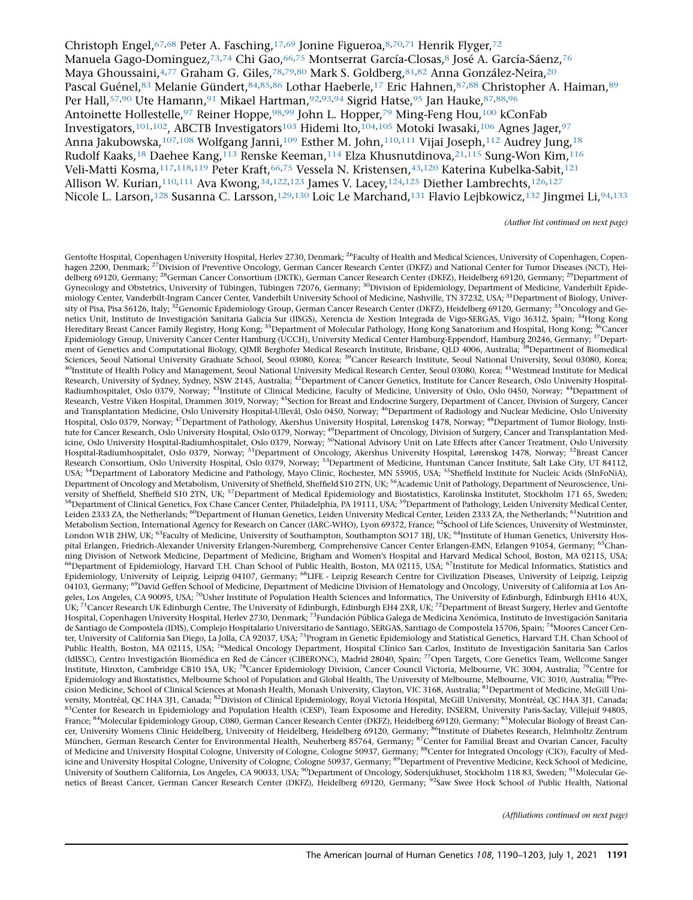Christoph Engel, <sup>67,68</sup> Peter A. Fasching, <sup>17,69</sup> Jonine Figueroa, <sup>8,70,71</sup> Henrik Flyger, <sup>72</sup> Manuela Gago-Dominguez, 73,74 Chi Gao, 66,75 Montserrat García-Closas, 8 José A. García-Sáenz, 76 Maya Ghoussaini, 4,77 Graham G. Giles, 78,79,80 Mark S. Goldberg, 81,82 Anna González-Neira, 20 Pascal Guénel,83 Melanie Gündert,84,85,86 Lothar Haeberle,<sup>17</sup> Eric Hahnen,87,88 Christopher A. Haiman,89 Per Hall,57,90 Ute Hamann,91 Mikael Hartman,92,93,94 Sigrid Hatse,95 Jan Hauke,87,88,96 Antoinette Hollestelle,<sup>97</sup> Reiner Hoppe,<sup>98,99</sup> John L. Hopper,<sup>79</sup> Ming-Feng Hou,<sup>100</sup> kConFab Investigators,101,102, ABCTB Investigators103 Hidemi Ito,104,105 Motoki Iwasaki,106 Agnes Jager,97 Anna Jakubowska,<sup>107,108</sup> Wolfgang Janni,<sup>109</sup> Esther M. John,<sup>110,111</sup> Vijai Joseph,<sup>112</sup> Audrey Jung,<sup>18</sup> Rudolf Kaaks,<sup>18</sup> Daehee Kang,<sup>113</sup> Renske Keeman,<sup>114</sup> Elza Khusnutdinova,<sup>21,115</sup> Sung-Won Kim,<sup>116</sup> Veli-Matti Kosma,117,118,119 Peter Kraft,66,75 Vessela N. Kristensen,43,120 Katerina Kubelka-Sabit,121 Allison W. Kurian,<sup>110,111</sup> Ava Kwong,<sup>34,122,123</sup> James V. Lacey,<sup>124,125</sup> Diether Lambrechts,<sup>126,127</sup> Nicole L. Larson,128 Susanna C. Larsson,129,130 Loic Le Marchand,131 Flavio Lejbkowicz,132 Jingmei Li,94,133

(Author list continued on next page)

Gentofte Hospital, Copenhagen University Hospital, Herlev 2730, Denmark; <sup>26</sup>Faculty of Health and Medical Sciences, University of Copenhagen, Copenhagen 2200, Denmark; <sup>27</sup>Division of Preventive Oncology, German Cancer Research Center (DKFZ) and National Center for Tumor Diseases (NCT), Heidelberg 69120, Germany; <sup>28</sup>German Cancer Consortium (DKTK), German Cancer Research Center (DKFZ), Heidelberg 69120, Germany; <sup>29</sup>Department of Gynecology and Obstetrics, University of Tübingen, Tübingen 72076, Germany; <sup>30</sup>Division of Epidemiology, Department of Medicine, Vanderbilt Epidemiology Center, Vanderbilt-Ingram Cancer Center, Vanderbilt University School of Medicine, Nashville, TN 37232, USA; <sup>31</sup>Department of Biology, University of Pisa, Pisa 56126, Italy; <sup>32</sup>Genomic Epidemiology Group, German Cancer Research Center (DKFZ), Heidelberg 69120, Germany; <sup>33</sup>Oncology and Genetics Unit, Instituto de Investigación Sanitaria Galicia Sur (IISGS), Xerencia de Xestion Integrada de Vigo-SERGAS, Vigo 36312, Spain; <sup>34</sup>Hong Kong Hereditary Breast Cancer Family Registry, Hong Kong; <sup>35</sup>Department of Molecular Pathology, Hong Kong Sanatorium and Hospital, Hong Kong; <sup>36</sup>Cancer Epidemiology Group, University Cancer Center Hamburg (UCCH), University Medical Center Hamburg-Eppendorf, Hamburg 20246, Germany; 37Department of Genetics and Computational Biology, QIMR Berghofer Medical Research Institute, Brisbane, QLD 4006, Australia; <sup>38</sup>Department of Biomedical Sciences, Seoul National University Graduate School, Seoul 03080, Korea; <sup>39</sup>Cancer Research Institute, Seoul National University, Seoul 03080, Korea; <sup>40</sup>Institute of Health Policy and Management, Seoul National University Medical Research Center, Seoul 03080, Korea; <sup>41</sup>Westmead Institute for Medical Research, University of Sydney, Sydney, NSW 2145, Australia; <sup>42</sup>Department of Cancer Genetics, Institute for Cancer Research, Oslo University Hospital-Radiumhospitalet, Oslo 0379, Norway; <sup>43</sup>Institute of Clinical Medicine, Faculty of Medicine, University of Oslo, Oslo 0450, Norway; <sup>44</sup>Department of Research, Vestre Viken Hospital, Drammen 3019, Norway; <sup>45</sup>Section for Breast and Endocrine Surgery, Department of Cancer, Division of Surgery, Cancer and Transplantation Medicine, Oslo University Hospital-Ullevål, Oslo 0450, Norway; <sup>46</sup>Department of Radiology and Nuclear Medicine, Oslo University Hospital, Oslo 0379, Norway; 47Department of Pathology, Akershus University Hospital, Lørenskog 1478, Norway; 48Department of Tumor Biology, Institute for Cancer Research, Oslo University Hospital, Oslo 0379, Norway; <sup>49</sup>Department of Oncology, Division of Surgery, Cancer and Transplantation Medicine, Oslo University Hospital-Radiumhospitalet, Oslo 0379, Norway; <sup>50</sup>National Advisory Unit on Late Effects after Cancer Treatment, Oslo University Hospital-Radiumhospitalet, Oslo 0379, Norway; <sup>51</sup>Department of Oncology, Akershus University Hospital, Lørenskog 1478, Norway; <sup>52</sup>Breast Cancer Research Consortium, Oslo University Hospital, Oslo 0379, Norway; <sup>53</sup>Department of Medicine, Huntsman Cancer Institute, Salt Lake City, UT 84112, USA; <sup>54</sup>Department of Laboratory Medicine and Pathology, Mayo Clinic, Rochester, MN 55905, USA; <sup>55</sup>Sheffield Institute for Nucleic Acids (SInFoNiA), Department of Oncology and Metabolism, University of Sheffield, Sheffield S10 2TN, UK; <sup>56</sup>Academic Unit of Pathology, Department of Neuroscience, University of Sheffield, Sheffield S10 2TN, UK; <sup>57</sup>Department of Medical Epidemiology and Biostatistics, Karolinska Institutet, Stockholm 171 65, Sweden; <sup>58</sup>Department of Clinical Genetics, Fox Chase Cancer Center, Philadelphia, PA 19111, USA; <sup>59</sup>Department of Pathology, Leiden University Medical Center, Leiden 2333 ZA, the Netherlands; <sup>60</sup>Department of Human Genetics, Leiden University Medical Center, Leiden 2333 ZA, the Netherlands; <sup>61</sup>Nutrition and Metabolism Section, International Agency for Research on Cancer (IARC-WHO), Lyon 69372, France; <sup>62</sup>School of Life Sciences, University of Westminster, London W1B 2HW, UK; <sup>63</sup>Faculty of Medicine, University of Southampton, Southampton SO17 1BJ, UK; <sup>64</sup>Institute of Human Genetics, University Hospital Erlangen, Friedrich-Alexander University Erlangen-Nuremberg, Comprehensive Cancer Center Erlangen-EMN, Erlangen 91054, Germany; <sup>65</sup>Channing Division of Network Medicine, Department of Medicine, Brigham and Women's Hospital and Harvard Medical School, Boston, MA 02115, USA; <sup>66</sup>Department of Epidemiology, Harvard T.H. Chan School of Public Health, Boston, MA 02115, USA; <sup>67</sup>Institute for Medical Informatics, Statistics and Epidemiology, University of Leipzig, Leipzig 04107, Germany; <sup>68</sup>LIFE - Leipzig Research Centre for Civilization Diseases, University of Leipzig, Leipzig 04103, Germany; <sup>69</sup>David Geffen School of Medicine, Department of Medicine Division of Hematology and Oncology, University of California at Los Angeles, Los Angeles, CA 90095, USA; <sup>70</sup>Usher Institute of Population Health Sciences and Informatics, The University of Edinburgh, Edinburgh EH16 4UX, UK; <sup>71</sup>Cancer Research UK Edinburgh Centre, The University of Edinburgh, Edinburgh EH4 2XR, UK; <sup>72</sup>Department of Breast Surgery, Herlev and Gentofte Hospital, Copenhagen University Hospital, Herlev 2730, Denmark; <sup>73</sup>Fundación Pública Galega de Medicina Xenómica, Instituto de Investigación Sanitaria de Santiago de Compostela (IDIS), Complejo Hospitalario Universitario de Santiago, SERGAS, Santiago de Compostela 15706, Spain; <sup>74</sup>Moores Cancer Center, University of California San Diego, La Jolla, CA 92037, USA; <sup>75</sup>Program in Genetic Epidemiology and Statistical Genetics, Harvard T.H. Chan School of Public Health, Boston, MA 02115, USA; <sup>76</sup>Medical Oncology Department, Hospital Clínico San Carlos, Instituto de Investigación Sanitaria San Carlos (IdISSC), Centro Investigación Biomédica en Red de Cáncer (CIBERONC), Madrid 28040, Spain; <sup>77</sup>Open Targets, Core Genetics Team, Wellcome Sanger Institute, Hinxton, Cambridge CB10 1SA, UK; 78Cancer Epidemiology Division, Cancer Council Victoria, Melbourne, VIC 3004, Australia; 79Centre for Epidemiology and Biostatistics, Melbourne School of Population and Global Health, The University of Melbourne, Melbourne, VIC 3010, Australia;  $\mathrm{^{80}Pre}$ cision Medicine, School of Clinical Sciences at Monash Health, Monash University, Clayton, VIC 3168, Australia; 81Department of Medicine, McGill University, Montréal, QC H4A 3J1, Canada; <sup>82</sup>Division of Clinical Epidemiology, Royal Victoria Hospital, McGill University, Montréal, QC H4A 3J1, Canada; 83Center for Research in Epidemiology and Population Health (CESP), Team Exposome and Heredity, INSERM, University Paris-Saclay, Villejuif 94805, France; <sup>84</sup>Molecular Epidemiology Group, C080, German Cancer Research Center (DKFZ), Heidelberg 69120, Germany; <sup>85</sup>Molecular Biology of Breast Cancer, University Womens Clinic Heidelberg, University of Heidelberg, Heidelberg 69120, Germany; <sup>86</sup>Institute of Diabetes Research, Helmholtz Zentrum München, German Research Center for Environmental Health, Neuherberg 85764, Germany; <sup>87</sup>Center for Familial Breast and Ovarian Cancer, Faculty of Medicine and University Hospital Cologne, University of Cologne, Cologne 50937, Germany; <sup>88</sup>Center for Integrated Oncology (CIO), Faculty of Medicine and University Hospital Cologne, University of Cologne, Cologne 50937, Germany; <sup>89</sup>Department of Preventive Medicine, Keck School of Medicine, University of Southern California, Los Angeles, CA 90033, USA; <sup>90</sup>Department of Oncology, Södersjukhuset, Stockholm 118 83, Sweden; <sup>91</sup>Molecular Genetics of Breast Cancer, German Cancer Research Center (DKFZ), Heidelberg 69120, Germany; <sup>92</sup>Saw Swee Hock School of Public Health, National

(Affiliations continued on next page)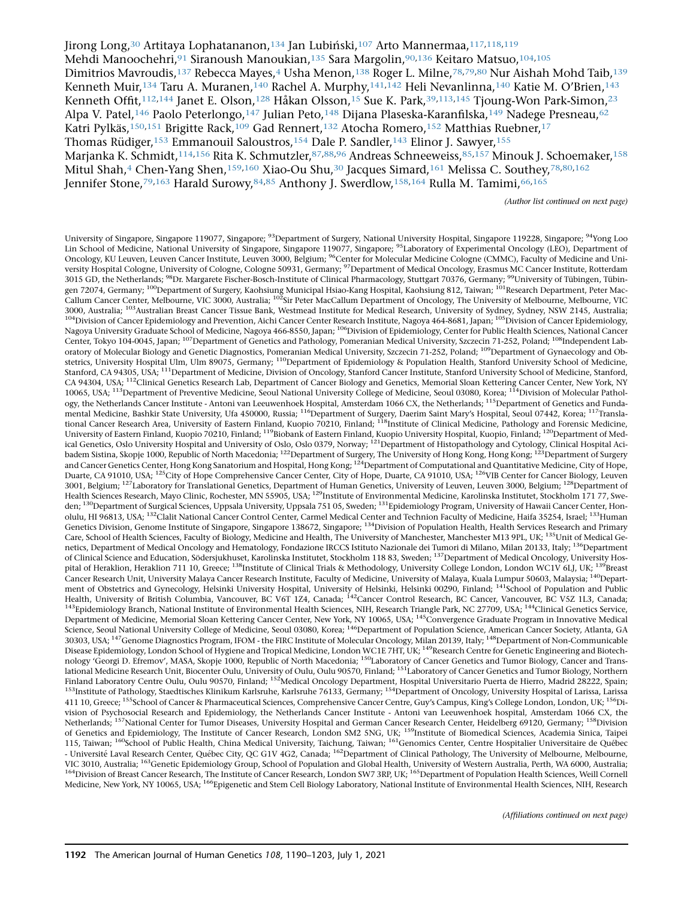Jirong Long,<sup>30</sup> Artitaya Lophatananon,<sup>134</sup> Jan Lubiński,<sup>107</sup> Arto Mannermaa,<sup>117,118,119</sup> Mehdi Manoochehri, <sup>91</sup> Siranoush Manoukian, <sup>135</sup> Sara Margolin, <sup>90,136</sup> Keitaro Matsuo, <sup>104,105</sup> Dimitrios Mavroudis,<sup>137</sup> Rebecca Mayes,<sup>4</sup> Usha Menon,<sup>138</sup> Roger L. Milne,<sup>78,79,80</sup> Nur Aishah Mohd Taib,<sup>139</sup> Kenneth Muir,<sup>134</sup> Taru A. Muranen,<sup>140</sup> Rachel A. Murphy,<sup>141,142</sup> Heli Nevanlinna,<sup>140</sup> Katie M. O'Brien,<sup>143</sup> Kenneth Offit,<sup>112,144</sup> Janet E. Olson,<sup>128</sup> Håkan Olsson,<sup>15</sup> Sue K. Park,<sup>39,113,145</sup> Tjoung-Won Park-Simon,<sup>23</sup> Alpa V. Patel,<sup>146</sup> Paolo Peterlongo,<sup>147</sup> Julian Peto,<sup>148</sup> Dijana Plaseska-Karanfilska,<sup>149</sup> Nadege Presneau,<sup>62</sup> Katri Pylkäs,<sup>150,151</sup> Brigitte Rack,<sup>109</sup> Gad Rennert,<sup>132</sup> Atocha Romero,<sup>152</sup> Matthias Ruebner,<sup>17</sup> Thomas Rüdiger,<sup>153</sup> Emmanouil Saloustros,<sup>154</sup> Dale P. Sandler,<sup>143</sup> Elinor J. Sawyer,<sup>155</sup> Marjanka K. Schmidt,<sup>114,156</sup> Rita K. Schmutzler,<sup>87,88,96</sup> Andreas Schneeweiss,<sup>85,157</sup> Minouk J. Schoemaker,<sup>158</sup> Mitul Shah,<sup>4</sup> Chen-Yang Shen,<sup>159,160</sup> Xiao-Ou Shu,<sup>30</sup> Jacques Simard,<sup>161</sup> Melissa C. Southey,<sup>78,80,162</sup> Jennifer Stone,79,163 Harald Surowy,84,85 Anthony J. Swerdlow,158,164 Rulla M. Tamimi,66,165

(Author list continued on next page)

University of Singapore, Singapore 119077, Singapore; <sup>93</sup>Department of Surgery, National University Hospital, Singapore 119228, Singapore; <sup>94</sup>Yong Loo Lin School of Medicine, National University of Singapore, Singapore 119077, Singapore; <sup>95</sup>Laboratory of Experimental Oncology (LEO), Department of Oncology, KU Leuven, Leuven Cancer Institute, Leuven 3000, Belgium; <sup>96</sup>Center for Molecular Medicine Cologne (CMMC), Faculty of Medicine and University Hospital Cologne, University of Cologne, Cologne 50931, Germany; <sup>97</sup>Department of Medical Oncology, Erasmus MC Cancer Institute, Rotterdam 3015 GD, the Netherlands; <sup>98</sup>Dr. Margarete Fischer-Bosch-Institute of Clinical Pharmacology, Stuttgart 70376, Germany; <sup>99</sup>University of Tübingen, Tübingen 72074, Germany; <sup>100</sup>Department of Surgery, Kaohsiung Municipal Hsiao-Kang Hospital, Kaohsiung 812, Taiwan; <sup>101</sup>Research Department, Peter Mac-Callum Cancer Center, Melbourne, VIC 3000, Australia; <sup>102</sup>Sir Peter MacCallum Department of Oncology, The University of Melbourne, Melbourne, Melbourne, VIC 3000, Australia; <sup>103</sup>Australian Breast Cancer Tissue Bank, Westmead Institute for Medical Research, University of Sydney, Sydney, NSW 2145, Australia; <sup>104</sup>Division of Cancer Epidemiology and Prevention, Aichi Cancer Center Research Institute, Nagoya 464-8681, Japan; <sup>105</sup>Division of Cancer Epidemiology, Nagoya University Graduate School of Medicine, Nagoya 466-8550, Japan; <sup>106</sup>Division of Epidemiology, Center for Public Health Sciences, National Cancer Center, Tokyo 104-0045, Japan; <sup>107</sup>Department of Genetics and Pathology, Pomeranian Medical University, Szczecin 71-252, Poland; <sup>108</sup>Independent Laboratory of Molecular Biology and Genetic Diagnostics, Pomeranian Medical University, Szczecin 71-252, Poland; 109Department of Gynaecology and Obstetrics, University Hospital Ulm, Ulm 89075, Germany; <sup>110</sup>Department of Epidemiology & Population Health, Stanford University School of Medicine, Stanford, CA 94305, USA; <sup>111</sup>Department of Medicine, Division of Oncology, Stanford Cancer Institute, Stanford University School of Medicine, Stanford, CA 94304, USA; <sup>112</sup>Clinical Genetics Research Lab, Department of Cancer Biology and Genetics, Memorial Sloan Kettering Cancer Center, New York, NY 10065, USA; <sup>113</sup>Department of Preventive Medicine, Seoul National University College of Medicine, Seoul 03080, Korea; <sup>114</sup>Division of Molecular Pathology, the Netherlands Cancer Institute - Antoni van Leeuwenhoek Hospital, Amsterdam 1066 CX, the Netherlands; <sup>115</sup>Department of Genetics and Fundamental Medicine, Bashkir State University, Ufa 450000, Russia; <sup>116</sup>Department of Surgery, Daerim Saint Mary's Hospital, Seoul 07442, Korea; <sup>117</sup>Translational Cancer Research Area, University of Eastern Finland, Kuopio 70210, Finland; <sup>118</sup>Institute of Clinical Medicine, Pathology and Forensic Medicine, University of Eastern Finland, Kuopio 70210, Finland; 119Biobank of Eastern Finland, Kuopio University Hospital, Kuopio, Finland; 120Department of Medical Genetics, Oslo University Hospital and University of Oslo, Oslo 0379, Norway; <sup>121</sup>Department of Histopathology and Cytology, Clinical Hospital Acibadem Sistina, Skopje 1000, Republic of North Macedonia; 122Department of Surgery, The University of Hong Kong, Hong Kong; 123Department of Surgery and Cancer Genetics Center, Hong Kong Sanatorium and Hospital, Hong Kong; <sup>124</sup>Department of Computational and Quantitative Medicine, City of Hope, Duarte, CA 91010, USA; <sup>125</sup>City of Hope Comprehensive Cancer Center, City of Hope, Duarte, CA 91010, USA; <sup>126</sup>VIB Center for Cancer Biology, Leuven 3001, Belgium; <sup>127</sup>Laboratory for Translational Genetics, Department of Human Genetics, University of Leuven, Leuven 3000, Belgium; <sup>128</sup>Department of Health Sciences Research, Mayo Clinic, Rochester, MN 55905, USA; <sup>129</sup>Institute of Environmental Medicine, Karolinska Institutet, Stockholm 171 77, Sweden; <sup>130</sup>Department of Surgical Sciences, Uppsala University, Uppsala 751 05, Sweden; <sup>131</sup>Epidemiology Program, University of Hawaii Cancer Center, Honolulu, HI 96813, USA; <sup>132</sup>Clalit National Cancer Control Center, Carmel Medical Center and Technion Faculty of Medicine, Haifa 35254, Israel; <sup>133</sup>Human Genetics Division, Genome Institute of Singapore, Singapore 138672, Singapore; <sup>134</sup>Division of Population Health, Health Services Research and Primary Care, School of Health Sciences, Faculty of Biology, Medicine and Health, The University of Manchester, Manchester M13 9PL, UK; 135Unit of Medical Genetics, Department of Medical Oncology and Hematology, Fondazione IRCCS Istituto Nazionale dei Tumori di Milano, Milan 20133, Italy; <sup>136</sup>Department of Clinical Science and Education, Södersjukhuset, Karolinska Institutet, Stockholm 118 83, Sweden; <sup>137</sup>Department of Medical Oncology, University Hospital of Heraklion, Heraklion 711 10, Greece; <sup>138</sup>Institute of Clinical Trials & Methodology, University College London, London WC1V 6LJ, UK; <sup>139</sup>Breast Cancer Research Unit, University Malaya Cancer Research Institute, Faculty of Medicine, University of Malaya, Kuala Lumpur 50603, Malaysia; 140Department of Obstetrics and Gynecology, Helsinki University Hospital, University of Helsinki, Helsinki 00290, Finland; <sup>141</sup>School of Population and Public Health, University of British Columbia, Vancouver, BC V6T 1Z4, Canada; 142Cancer Control Research, BC Cancer, Vancouver, BC V5Z 1L3, Canada; <sup>143</sup>Epidemiology Branch, National Institute of Environmental Health Sciences, NIH, Research Triangle Park, NC 27709, USA; <sup>144</sup>Clinical Genetics Service, Department of Medicine, Memorial Sloan Kettering Cancer Center, New York, NY 10065, USA; <sup>145</sup>Convergence Graduate Program in Innovative Medical Science, Seoul National University College of Medicine, Seoul 03080, Korea; <sup>146</sup>Department of Population Science, American Cancer Society, Atlanta, GA 30303, USA; <sup>147</sup>Genome Diagnostics Program, IFOM - the FIRC Institute of Molecular Oncology, Milan 20139, Italy; <sup>148</sup>Department of Non-Communicable Disease Epidemiology, London School of Hygiene and Tropical Medicine, London WC1E 7HT, UK;<sup>149</sup>Research Centre for Genetic Engineering and Biotechnology 'Georgi D. Efremov', MASA, Skopje 1000, Republic of North Macedonia; 150Laboratory of Cancer Genetics and Tumor Biology, Cancer and Translational Medicine Research Unit, Biocenter Oulu, University of Oulu, Oulu 90570, Finland; 151Laboratory of Cancer Genetics and Tumor Biology, Northern Finland Laboratory Centre Oulu, Oulu 90570, Finland; <sup>152</sup>Medical Oncology Department, Hospital Universitario Puerta de Hierro, Madrid 28222, Spain; 153Institute of Pathology, Staedtisches Klinikum Karlsruhe, Karlsruhe 76133, Germany; <sup>154</sup>Department of Oncology, University Hospital of Larissa, Larissa 411 10, Greece; <sup>155</sup>School of Cancer & Pharmaceutical Sciences, Comprehensive Cancer Centre, Guy's Campus, King's College London, London, UK; <sup>156</sup>Division of Psychosocial Research and Epidemiology, the Netherlands Cancer Institute - Antoni van Leeuwenhoek hospital, Amsterdam 1066 CX, the Netherlands; <sup>157</sup>National Center for Tumor Diseases, University Hospital and German Cancer Research Center, Heidelberg 69120, Germany; <sup>158</sup>Division of Genetics and Epidemiology, The Institute of Cancer Research, London SM2 5NG, UK; 159Institute of Biomedical Sciences, Academia Sinica, Taipei 115, Taiwan; <sup>160</sup>School of Public Health, China Medical University, Taichung, Taiwan; <sup>161</sup>Genomics Center, Centre Hospitalier Universitaire de Québec - Université Laval Research Center, Québec City, QC G1V 4G2, Canada; <sup>162</sup>Department of Clinical Pathology, The University of Melbourne, Melbourne, VIC 3010, Australia; <sup>163</sup>Genetic Epidemiology Group, School of Population and Global Health, University of Western Australia, Perth, WA 6000, Australia; <sup>164</sup>Division of Breast Cancer Research, The Institute of Cancer Research, London SW7 3RP, UK; <sup>165</sup>Department of Population Health Sciences, Weill Cornell Medicine, New York, NY 10065, USA; <sup>166</sup>Epigenetic and Stem Cell Biology Laboratory, National Institute of Environmental Health Sciences, NIH, Research

(Affiliations continued on next page)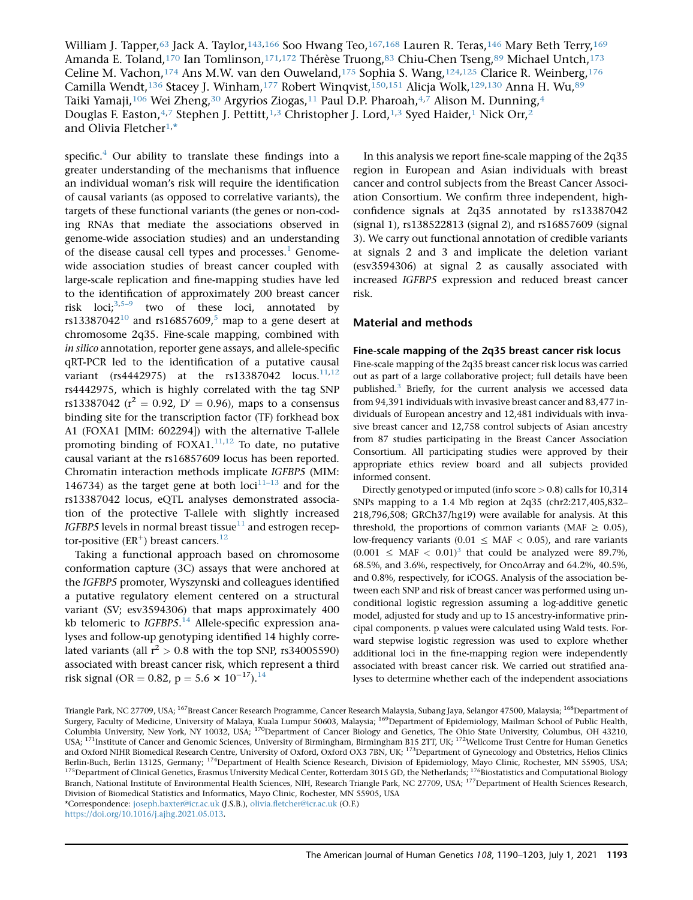William J. Tapper,<sup>63</sup> Jack A. Taylor,<sup>143,166</sup> Soo Hwang Teo,<sup>167,168</sup> Lauren R. Teras,<sup>146</sup> Mary Beth Terry,<sup>169</sup> Amanda E. Toland,<sup>170</sup> Ian Tomlinson,<sup>171,172</sup> Thérèse Truong,<sup>83</sup> Chiu-Chen Tseng,<sup>89</sup> Michael Untch,<sup>173</sup> Celine M. Vachon, 174 Ans M.W. van den Ouweland, 175 Sophia S. Wang, 124, 125 Clarice R. Weinberg, 176 Camilla Wendt,<sup>136</sup> Stacey J. Winham,<sup>177</sup> Robert Winqvist,<sup>150,151</sup> Alicja Wolk,<sup>129,130</sup> Anna H. Wu,<sup>89</sup> Taiki Yamaji,<sup>106</sup> Wei Zheng,<sup>30</sup> Argyrios Ziogas,<sup>11</sup> Paul D.P. Pharoah,<sup>4,7</sup> Alison M. Dunning,<sup>4</sup> Douglas F. Easton,  $4,7$  Stephen J. Pettitt,  $1,3$  Christopher J. Lord,  $1,3$  Syed Haider, 1 Nick Orr,  $2$ and Olivia Fletcher<sup>1,\*</sup>

specific. $4$  Our ability to translate these findings into a greater understanding of the mechanisms that influence an individual woman's risk will require the identification of causal variants (as opposed to correlative variants), the targets of these functional variants (the genes or non-coding RNAs that mediate the associations observed in genome-wide association studies) and an understanding of the disease causal cell types and processes.<sup>1</sup> Genomewide association studies of breast cancer coupled with large-scale replication and fine-mapping studies have led to the identification of approximately 200 breast cancer risk loci; $3,5-9$  two of these loci, annotated by rs13387042<sup>10</sup> and rs16857609,<sup>5</sup> map to a gene desert at chromosome 2q35. Fine-scale mapping, combined with in silico annotation, reporter gene assays, and allele-specific qRT-PCR led to the identification of a putative causal variant (rs4442975) at the rs13387042  $locus.^{11,12}$ rs4442975, which is highly correlated with the tag SNP rs13387042 ( $r^2 = 0.92$ ,  $D' = 0.96$ ), maps to a consensus binding site for the transcription factor (TF) forkhead box A1 (FOXA1 [MIM: 602294]) with the alternative T-allele promoting binding of  $FOXA1$ .<sup>11,12</sup> To date, no putative causal variant at the rs16857609 locus has been reported. Chromatin interaction methods implicate IGFBP5 (MIM: 146734) as the target gene at both  $loci^{11-13}$  and for the rs13387042 locus, eQTL analyses demonstrated association of the protective T-allele with slightly increased IGFBP5 levels in normal breast tissue $11$  and estrogen receptor-positive ( $ER^+$ ) breast cancers.<sup>12</sup>

Taking a functional approach based on chromosome conformation capture (3C) assays that were anchored at the IGFBP5 promoter, Wyszynski and colleagues identified a putative regulatory element centered on a structural variant (SV; esv3594306) that maps approximately 400 kb telomeric to IGFBP5.<sup>14</sup> Allele-specific expression analyses and follow-up genotyping identified 14 highly correlated variants (all  $r^2 > 0.8$  with the top SNP, rs34005590) associated with breast cancer risk, which represent a third risk signal (OR = 0.82, p = 5.6  $\times$  10<sup>-17</sup>).<sup>14</sup>

In this analysis we report fine-scale mapping of the 2q35 region in European and Asian individuals with breast cancer and control subjects from the Breast Cancer Association Consortium. We confirm three independent, highconfidence signals at 2q35 annotated by rs13387042 (signal 1), rs138522813 (signal 2), and rs16857609 (signal 3). We carry out functional annotation of credible variants at signals 2 and 3 and implicate the deletion variant (esv3594306) at signal 2 as causally associated with increased IGFBP5 expression and reduced breast cancer risk.

## Material and methods

### Fine-scale mapping of the 2q35 breast cancer risk locus

Fine-scale mapping of the 2q35 breast cancer risk locus was carried out as part of a large collaborative project; full details have been published.<sup>3</sup> Briefly, for the current analysis we accessed data from 94,391 individuals with invasive breast cancer and 83,477 individuals of European ancestry and 12,481 individuals with invasive breast cancer and 12,758 control subjects of Asian ancestry from 87 studies participating in the Breast Cancer Association Consortium. All participating studies were approved by their appropriate ethics review board and all subjects provided informed consent.

Directly genotyped or imputed (info score > 0.8) calls for 10,314 SNPs mapping to a 1.4 Mb region at 2q35 (chr2:217,405,832– 218,796,508; GRCh37/hg19) were available for analysis. At this threshold, the proportions of common variants (MAF  $\geq$  0.05), low-frequency variants (0.01  $\leq$  MAF  $<$  0.05), and rare variants  $(0.001 \leq \text{MAF} < 0.01)^3$  that could be analyzed were 89.7%, 68.5%, and 3.6%, respectively, for OncoArray and 64.2%, 40.5%, and 0.8%, respectively, for iCOGS. Analysis of the association between each SNP and risk of breast cancer was performed using unconditional logistic regression assuming a log-additive genetic model, adjusted for study and up to 15 ancestry-informative principal components. p values were calculated using Wald tests. Forward stepwise logistic regression was used to explore whether additional loci in the fine-mapping region were independently associated with breast cancer risk. We carried out stratified analyses to determine whether each of the independent associations

Triangle Park, NC 27709, USA; <sup>167</sup>Breast Cancer Research Programme, Cancer Research Malaysia, Subang Jaya, Selangor 47500, Malaysia; <sup>168</sup>Department of Surgery, Faculty of Medicine, University of Malaya, Kuala Lumpur 50603, Malaysia; <sup>169</sup>Department of Epidemiology, Mailman School of Public Health, Columbia University, New York, NY 10032, USA; <sup>170</sup>Department of Cancer Biology and Genetics, The Ohio State University, Columbus, OH 43210, USA; <sup>171</sup>Institute of Cancer and Genomic Sciences, University of Birmingham, Birmingham B15 2TT, UK; <sup>172</sup>Wellcome Trust Centre for Human Genetics and Oxford NIHR Biomedical Research Centre, University of Oxford, Oxford OX3 7BN, UK; <sup>173</sup>Department of Gynecology and Obstetrics, Helios Clinics Berlin-Buch, Berlin 13125, Germany; <sup>174</sup>Department of Health Science Research, Division of Epidemiology, Mayo Clinic, Rochester, MN 55905, USA; <sup>175</sup>Department of Clinical Genetics, Erasmus University Medical Center, Rotterdam 3015 GD, the Netherlands; <sup>176</sup>Biostatistics and Computational Biology Branch, National Institute of Environmental Health Sciences, NIH, Research Triangle Park, NC 27709, USA; <sup>177</sup>Department of Health Sciences Research, Division of Biomedical Statistics and Informatics, Mayo Clinic, Rochester, MN 55905, USA

\*Correspondence: [joseph.baxter@icr.ac.uk](mailto:joseph.baxter@icr.ac.uk) (J.S.B.), [olivia.fletcher@icr.ac.uk](mailto:olivia.fletcher@icr.ac.uk) (O.F.)

[https://doi.org/10.1016/j.ajhg.2021.05.013.](https://doi.org/10.1016/j.ajhg.2021.05.013)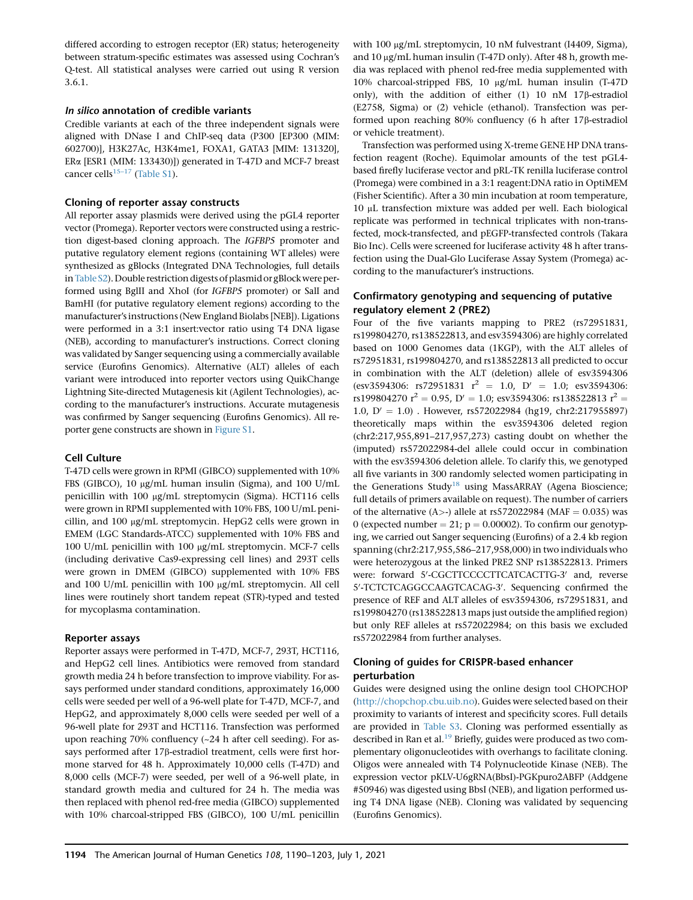differed according to estrogen receptor (ER) status; heterogeneity between stratum-specific estimates was assessed using Cochran's Q-test. All statistical analyses were carried out using R version 3.6.1.

## In silico annotation of credible variants

Credible variants at each of the three independent signals were aligned with DNase I and ChIP-seq data (P300 [EP300 (MIM: 602700)], H3K27Ac, H3K4me1, FOXA1, GATA3 [MIM: 131320], ERa [ESR1 (MIM: 133430)]) generated in T-47D and MCF-7 breast cancer cells<sup>15–17</sup> (Table S1).

## Cloning of reporter assay constructs

All reporter assay plasmids were derived using the pGL4 reporter vector (Promega). Reporter vectors were constructed using a restriction digest-based cloning approach. The IGFBP5 promoter and putative regulatory element regions (containing WT alleles) were synthesized as gBlocks (Integrated DNA Technologies, full details inTable S2). Double restriction digests of plasmid or gBlock were performed using BglII and XhoI (for IGFBP5 promoter) or SalI and BamHI (for putative regulatory element regions) according to the manufacturer's instructions (New England Biolabs [NEB]). Ligations were performed in a 3:1 insert:vector ratio using T4 DNA ligase (NEB), according to manufacturer's instructions. Correct cloning was validated by Sanger sequencing using a commercially available service (Eurofins Genomics). Alternative (ALT) alleles of each variant were introduced into reporter vectors using QuikChange Lightning Site-directed Mutagenesis kit (Agilent Technologies), according to the manufacturer's instructions. Accurate mutagenesis was confirmed by Sanger sequencing (Eurofins Genomics). All reporter gene constructs are shown in Figure S1.

## Cell Culture

T-47D cells were grown in RPMI (GIBCO) supplemented with 10% FBS (GIBCO), 10 µg/mL human insulin (Sigma), and 100 U/mL penicillin with 100 µg/mL streptomycin (Sigma). HCT116 cells were grown in RPMI supplemented with 10% FBS, 100 U/mL penicillin, and  $100 \mu g/mL$  streptomycin. HepG2 cells were grown in EMEM (LGC Standards-ATCC) supplemented with 10% FBS and 100 U/mL penicillin with 100 mg/mL streptomycin. MCF-7 cells (including derivative Cas9-expressing cell lines) and 293T cells were grown in DMEM (GIBCO) supplemented with 10% FBS and 100 U/mL penicillin with 100  $\mu$ g/mL streptomycin. All cell lines were routinely short tandem repeat (STR)-typed and tested for mycoplasma contamination.

## Reporter assays

Reporter assays were performed in T-47D, MCF-7, 293T, HCT116, and HepG2 cell lines. Antibiotics were removed from standard growth media 24 h before transfection to improve viability. For assays performed under standard conditions, approximately 16,000 cells were seeded per well of a 96-well plate for T-47D, MCF-7, and HepG2, and approximately 8,000 cells were seeded per well of a 96-well plate for 293T and HCT116. Transfection was performed upon reaching 70% confluency (~24 h after cell seeding). For assays performed after 17b-estradiol treatment, cells were first hormone starved for 48 h. Approximately 10,000 cells (T-47D) and 8,000 cells (MCF-7) were seeded, per well of a 96-well plate, in standard growth media and cultured for 24 h. The media was then replaced with phenol red-free media (GIBCO) supplemented with 10% charcoal-stripped FBS (GIBCO), 100 U/mL penicillin

with 100 µg/mL streptomycin, 10 nM fulvestrant (I4409, Sigma), and 10 µg/mL human insulin (T-47D only). After 48 h, growth media was replaced with phenol red-free media supplemented with 10% charcoal-stripped FBS, 10 μg/mL human insulin (T-47D only), with the addition of either  $(1)$  10 nM 17 $\beta$ -estradiol (E2758, Sigma) or (2) vehicle (ethanol). Transfection was performed upon reaching 80% confluency (6 h after 17ß-estradiol or vehicle treatment).

Transfection was performed using X-treme GENE HP DNA transfection reagent (Roche). Equimolar amounts of the test pGL4 based firefly luciferase vector and pRL-TK renilla luciferase control (Promega) were combined in a 3:1 reagent:DNA ratio in OptiMEM (Fisher Scientific). After a 30 min incubation at room temperature, 10 mL transfection mixture was added per well. Each biological replicate was performed in technical triplicates with non-transfected, mock-transfected, and pEGFP-transfected controls (Takara Bio Inc). Cells were screened for luciferase activity 48 h after transfection using the Dual-Glo Luciferase Assay System (Promega) according to the manufacturer's instructions.

## Confirmatory genotyping and sequencing of putative regulatory element 2 (PRE2)

Four of the five variants mapping to PRE2 (rs72951831, rs199804270, rs138522813, and esv3594306) are highly correlated based on 1000 Genomes data (1KGP), with the ALT alleles of rs72951831, rs199804270, and rs138522813 all predicted to occur in combination with the ALT (deletion) allele of esv3594306 (esv3594306: rs72951831  $r^2 = 1.0$ ,  $D' = 1.0$ ; esv3594306: rs199804270  $r^2 = 0.95$ ,  $D' = 1.0$ ; esv3594306: rs138522813  $r^2 =$ 1.0,  $D' = 1.0$ ). However, rs572022984 (hg19, chr2:217955897) theoretically maps within the esv3594306 deleted region (chr2:217,955,891–217,957,273) casting doubt on whether the (imputed) rs572022984-del allele could occur in combination with the esv3594306 deletion allele. To clarify this, we genotyped all five variants in 300 randomly selected women participating in the Generations Study<sup>18</sup> using MassARRAY (Agena Bioscience; full details of primers available on request). The number of carriers of the alternative (A>-) allele at rs572022984 (MAF =  $0.035$ ) was 0 (expected number = 21;  $p = 0.00002$ ). To confirm our genotyping, we carried out Sanger sequencing (Eurofins) of a 2.4 kb region spanning (chr2:217,955,586–217,958,000) in two individuals who were heterozygous at the linked PRE2 SNP rs138522813. Primers were: forward 5'-CGCTTCCCCTTCATCACTTG-3' and, reverse 5'-TCTCTCAGGCCAAGTCACAG-3'. Sequencing confirmed the presence of REF and ALT alleles of esv3594306, rs72951831, and rs199804270 (rs138522813 maps just outside the amplified region) but only REF alleles at rs572022984; on this basis we excluded rs572022984 from further analyses.

## Cloning of guides for CRISPR-based enhancer perturbation

Guides were designed using the online design tool CHOPCHOP [\(http://chopchop.cbu.uib.no\)](http://chopchop.cbu.uib.no). Guides were selected based on their proximity to variants of interest and specificity scores. Full details are provided in Table S3. Cloning was performed essentially as described in Ran et al.<sup>19</sup> Briefly, guides were produced as two complementary oligonucleotides with overhangs to facilitate cloning. Oligos were annealed with T4 Polynucleotide Kinase (NEB). The expression vector pKLV-U6gRNA(BbsI)-PGKpuro2ABFP (Addgene #50946) was digested using BbsI (NEB), and ligation performed using T4 DNA ligase (NEB). Cloning was validated by sequencing (Eurofins Genomics).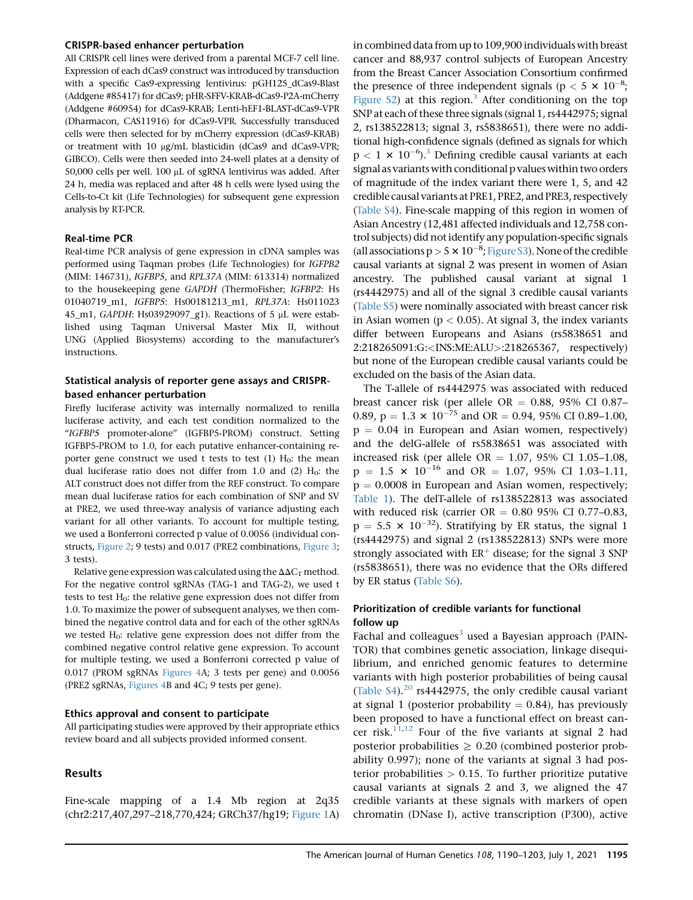#### CRISPR-based enhancer perturbation

All CRISPR cell lines were derived from a parental MCF-7 cell line. Expression of each dCas9 construct was introduced by transduction with a specific Cas9-expressing lentivirus: pGH125\_dCas9-Blast (Addgene #85417) for dCas9; pHR-SFFV-KRAB-dCas9-P2A-mCherry (Addgene #60954) for dCas9-KRAB; Lenti-hEF1-BLAST-dCas9-VPR (Dharmacon, CAS11916) for dCas9-VPR. Successfully transduced cells were then selected for by mCherry expression (dCas9-KRAB) or treatment with 10 µg/mL blasticidin (dCas9 and dCas9-VPR; GIBCO). Cells were then seeded into 24-well plates at a density of 50,000 cells per well. 100  $\mu$ L of sgRNA lentivirus was added. After 24 h, media was replaced and after 48 h cells were lysed using the Cells-to-Ct kit (Life Technologies) for subsequent gene expression analysis by RT-PCR.

#### Real-time PCR

Real-time PCR analysis of gene expression in cDNA samples was performed using Taqman probes (Life Technologies) for IGFPB2 (MIM: 146731), IGFBP5, and RPL37A (MIM: 613314) normalized to the housekeeping gene GAPDH (ThermoFisher; IGFBP2: Hs 01040719\_m1, IGFBP5: Hs00181213\_m1, RPL37A: Hs011023 45\_m1, GAPDH: Hs03929097\_g1). Reactions of 5 mL were established using Taqman Universal Master Mix II, without UNG (Applied Biosystems) according to the manufacturer's instructions.

## Statistical analysis of reporter gene assays and CRISPRbased enhancer perturbation

Firefly luciferase activity was internally normalized to renilla luciferase activity, and each test condition normalized to the ''IGFBP5 promoter-alone'' (IGFBP5-PROM) construct. Setting IGFBP5-PROM to 1.0, for each putative enhancer-containing reporter gene construct we used t tests to test  $(1)$  H<sub>0</sub>: the mean dual luciferase ratio does not differ from 1.0 and (2)  $H_0$ : the ALT construct does not differ from the REF construct. To compare mean dual luciferase ratios for each combination of SNP and SV at PRE2, we used three-way analysis of variance adjusting each variant for all other variants. To account for multiple testing, we used a Bonferroni corrected p value of 0.0056 (individual constructs, Figure 2; 9 tests) and 0.017 (PRE2 combinations, Figure 3; 3 tests).

Relative gene expression was calculated using the  $\Delta\Delta C_T$  method. For the negative control sgRNAs (TAG-1 and TAG-2), we used t tests to test  $H_0$ : the relative gene expression does not differ from 1.0. To maximize the power of subsequent analyses, we then combined the negative control data and for each of the other sgRNAs we tested  $H_0$ : relative gene expression does not differ from the combined negative control relative gene expression. To account for multiple testing, we used a Bonferroni corrected p value of 0.017 (PROM sgRNAs Figures 4A; 3 tests per gene) and 0.0056 (PRE2 sgRNAs, Figures 4B and 4C; 9 tests per gene).

#### Ethics approval and consent to participate

All participating studies were approved by their appropriate ethics review board and all subjects provided informed consent.

### Results

Fine-scale mapping of a 1.4 Mb region at 2q35 (chr2:217,407,297–218,770,424; GRCh37/hg19; Figure 1A) in combined data from up to 109,900 individuals with breast cancer and 88,937 control subjects of European Ancestry from the Breast Cancer Association Consortium confirmed the presence of three independent signals ( $p < 5 \times 10^{-8}$ ; Figure  $S(2)$  at this region.<sup>3</sup> After conditioning on the top SNP at each of these three signals (signal 1, rs4442975; signal 2, rs138522813; signal 3, rs5838651), there were no additional high-confidence signals (defined as signals for which  $p < 1 \times 10^{-6}$ ).<sup>3</sup> Defining credible causal variants at each signal as variants with conditional p values within two orders of magnitude of the index variant there were 1, 5, and 42 credible causal variants at PRE1, PRE2, and PRE3, respectively (Table S4). Fine-scale mapping of this region in women of Asian Ancestry (12,481 affected individuals and 12,758 control subjects) did not identify any population-specific signals (all associations  $p > 5 \times 10^{-8}$ ; Figure S3). None of the credible causal variants at signal 2 was present in women of Asian ancestry. The published causal variant at signal 1 (rs4442975) and all of the signal 3 credible causal variants (Table S5) were nominally associated with breast cancer risk in Asian women ( $p < 0.05$ ). At signal 3, the index variants differ between Europeans and Asians (rs5838651 and 2:218265091:G:<INS:ME:ALU>:218265367, respectively) but none of the European credible causal variants could be excluded on the basis of the Asian data.

The T-allele of rs4442975 was associated with reduced breast cancer risk (per allele OR =  $0.88$ , 95% CI 0.87– 0.89,  $p = 1.3 \times 10^{-75}$  and OR = 0.94, 95% CI 0.89–1.00,  $p = 0.04$  in European and Asian women, respectively) and the delG-allele of rs5838651 was associated with increased risk (per allele OR =  $1.07$ , 95% CI 1.05-1.08,  $p = 1.5 \times 10^{-16}$  and OR = 1.07, 95% CI 1.03-1.11,  $p = 0.0008$  in European and Asian women, respectively; Table 1). The delT-allele of rs138522813 was associated with reduced risk (carrier  $OR = 0.80$  95% CI 0.77-0.83,  $p = 5.5 \times 10^{-32}$ ). Stratifying by ER status, the signal 1 (rs4442975) and signal 2 (rs138522813) SNPs were more strongly associated with  $ER^+$  disease; for the signal 3 SNP (rs5838651), there was no evidence that the ORs differed by ER status (Table S6).

## Prioritization of credible variants for functional follow up

Fachal and colleagues<sup>3</sup> used a Bayesian approach (PAIN-TOR) that combines genetic association, linkage disequilibrium, and enriched genomic features to determine variants with high posterior probabilities of being causal (Table S4).<sup>20</sup> rs4442975, the only credible causal variant at signal 1 (posterior probability  $= 0.84$ ), has previously been proposed to have a functional effect on breast cancer risk. $11,12$  Four of the five variants at signal 2 had posterior probabilities  $\geq 0.20$  (combined posterior probability 0.997); none of the variants at signal 3 had posterior probabilities  $> 0.15$ . To further prioritize putative causal variants at signals 2 and 3, we aligned the 47 credible variants at these signals with markers of open chromatin (DNase I), active transcription (P300), active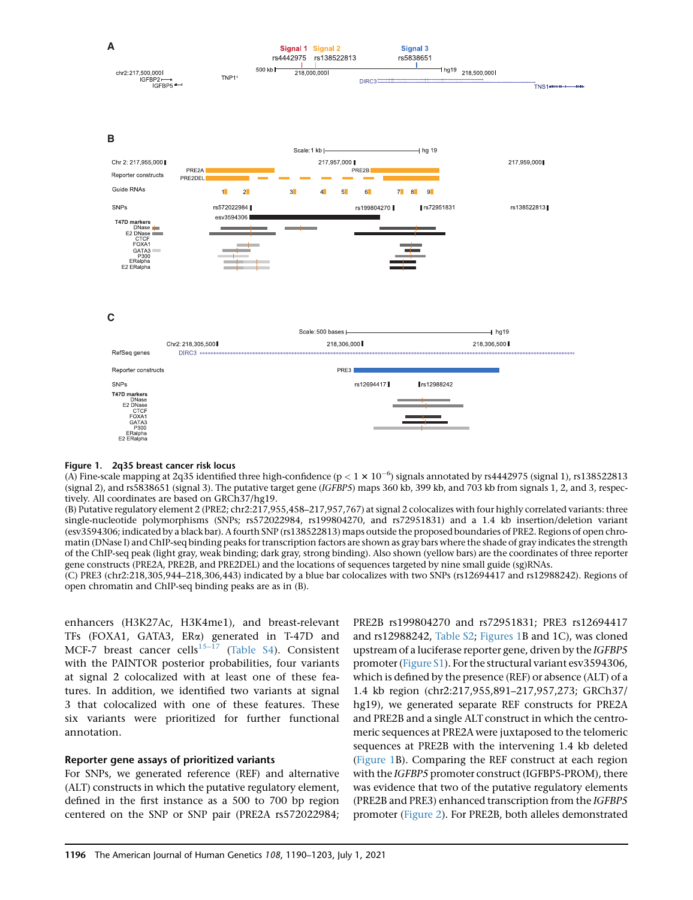

Figure 1. 2q35 breast cancer risk locus

(A) Fine-scale mapping at 2q35 identified three high-confidence ( $p < 1 \times 10^{-6}$ ) signals annotated by rs4442975 (signal 1), rs138522813 (signal 2), and rs5838651 (signal 3). The putative target gene (IGFBP5) maps 360 kb, 399 kb, and 703 kb from signals 1, 2, and 3, respectively. All coordinates are based on GRCh37/hg19.

(B) Putative regulatory element 2 (PRE2; chr2:217,955,458–217,957,767) at signal 2 colocalizes with four highly correlated variants: three single-nucleotide polymorphisms (SNPs; rs572022984, rs199804270, and rs72951831) and a 1.4 kb insertion/deletion variant (esv3594306; indicated by a black bar). A fourth SNP (rs138522813) maps outside the proposed boundaries of PRE2. Regions of open chromatin (DNase I) and ChIP-seq binding peaks for transcription factors are shown as gray bars where the shade of gray indicates the strength of the ChIP-seq peak (light gray, weak binding; dark gray, strong binding). Also shown (yellow bars) are the coordinates of three reporter gene constructs (PRE2A, PRE2B, and PRE2DEL) and the locations of sequences targeted by nine small guide (sg)RNAs.

(C) PRE3 (chr2:218,305,944–218,306,443) indicated by a blue bar colocalizes with two SNPs (rs12694417 and rs12988242). Regions of open chromatin and ChIP-seq binding peaks are as in (B).

enhancers (H3K27Ac, H3K4me1), and breast-relevant TFs (FOXA1, GATA3, ERa) generated in T-47D and MCF-7 breast cancer cells<sup>15-17</sup> (Table S4). Consistent with the PAINTOR posterior probabilities, four variants at signal 2 colocalized with at least one of these features. In addition, we identified two variants at signal 3 that colocalized with one of these features. These six variants were prioritized for further functional annotation.

## Reporter gene assays of prioritized variants

For SNPs, we generated reference (REF) and alternative (ALT) constructs in which the putative regulatory element, defined in the first instance as a 500 to 700 bp region centered on the SNP or SNP pair (PRE2A rs572022984;

PRE2B rs199804270 and rs72951831; PRE3 rs12694417 and rs12988242, Table S2; Figures 1B and 1C), was cloned upstream of a luciferase reporter gene, driven by the IGFBP5 promoter (Figure S1). For the structural variant esv3594306, which is defined by the presence (REF) or absence (ALT) of a 1.4 kb region (chr2:217,955,891–217,957,273; GRCh37/ hg19), we generated separate REF constructs for PRE2A and PRE2B and a single ALT construct in which the centromeric sequences at PRE2A were juxtaposed to the telomeric sequences at PRE2B with the intervening 1.4 kb deleted (Figure 1B). Comparing the REF construct at each region with the IGFBP5 promoter construct (IGFBP5-PROM), there was evidence that two of the putative regulatory elements (PRE2B and PRE3) enhanced transcription from the IGFBP5 promoter (Figure 2). For PRE2B, both alleles demonstrated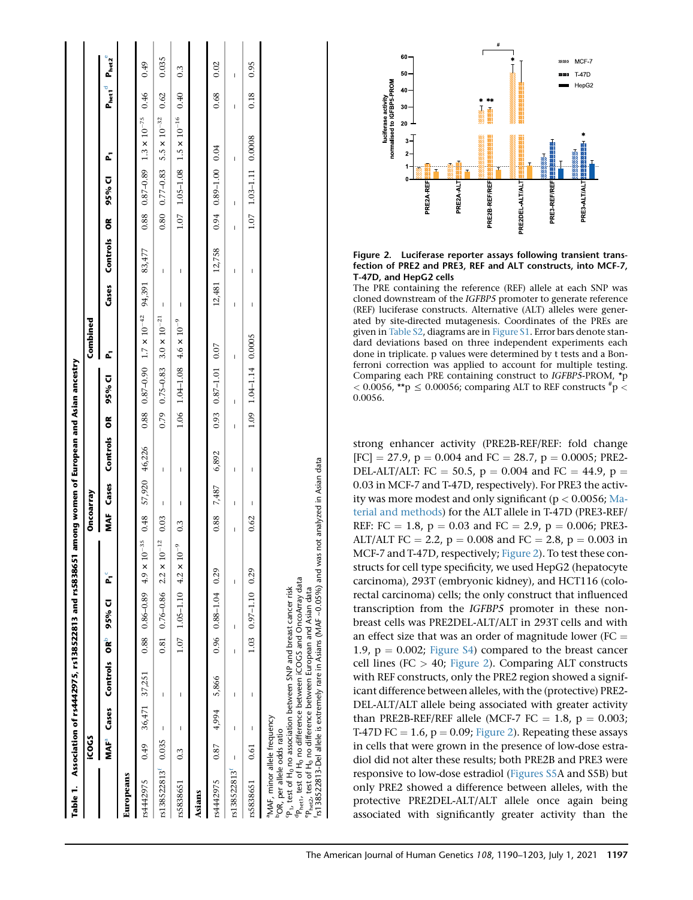| Table 1.                                                                                                                                                                                                                                                                                                                                                                             |                         |              | Association of rs4442975, rs138522813 and rs5838651 |   |                             |                                                                                                    |                  |                                                                                                                                                                                                                                                                                                                                                                                  |              |   | among women of European and Asian ancestry |                                          |               |             |   |                       |                                               |            |                   |
|--------------------------------------------------------------------------------------------------------------------------------------------------------------------------------------------------------------------------------------------------------------------------------------------------------------------------------------------------------------------------------------|-------------------------|--------------|-----------------------------------------------------|---|-----------------------------|----------------------------------------------------------------------------------------------------|------------------|----------------------------------------------------------------------------------------------------------------------------------------------------------------------------------------------------------------------------------------------------------------------------------------------------------------------------------------------------------------------------------|--------------|---|--------------------------------------------|------------------------------------------|---------------|-------------|---|-----------------------|-----------------------------------------------|------------|-------------------|
|                                                                                                                                                                                                                                                                                                                                                                                      | icocs                   |              |                                                     |   |                             |                                                                                                    | Oncoarray        |                                                                                                                                                                                                                                                                                                                                                                                  |              |   |                                            | Combined                                 |               |             |   |                       |                                               |            |                   |
|                                                                                                                                                                                                                                                                                                                                                                                      | <b>MAF</b> <sup>a</sup> |              | Cases Controls ORD                                  |   | 95% CI                      | ້                                                                                                  | ≹<br>M           | Cases                                                                                                                                                                                                                                                                                                                                                                            | Controls     | õ | 95% CI                                     | Č,                                       | Cases         | Controls OR |   | 95% CI                | Ċ,                                            | o<br>Preti | $P_{\text{het2}}$ |
| Europeans                                                                                                                                                                                                                                                                                                                                                                            |                         |              |                                                     |   |                             |                                                                                                    |                  |                                                                                                                                                                                                                                                                                                                                                                                  |              |   |                                            |                                          |               |             |   |                       |                                               |            |                   |
| rs4442975                                                                                                                                                                                                                                                                                                                                                                            | 0.49                    |              | 36,471 37,251                                       |   |                             | $0.88$ $0.86-0.89$ $4.9 \times 10^{-35}$                                                           | 0.48             | 57,920 46,226                                                                                                                                                                                                                                                                                                                                                                    |              |   |                                            | $0.88$ $0.87-0.90$ $1.7 \times 10^{-42}$ | 94,391        | 83,477      |   |                       | $0.88$ $0.87-0.89$ $1.3 \times 10^{-75}$ 0.46 |            | 0.49              |
| rs138522813 <sup>t</sup> 0.035                                                                                                                                                                                                                                                                                                                                                       |                         | $\mathbf{I}$ | I                                                   |   |                             | $0.81$ $0.76-0.86$ $2.2 \times 10^{-12}$                                                           | 0.03             | $\begin{array}{c} \rule{0pt}{2.5ex} \rule{0pt}{2.5ex} \rule{0pt}{2.5ex} \rule{0pt}{2.5ex} \rule{0pt}{2.5ex} \rule{0pt}{2.5ex} \rule{0pt}{2.5ex} \rule{0pt}{2.5ex} \rule{0pt}{2.5ex} \rule{0pt}{2.5ex} \rule{0pt}{2.5ex} \rule{0pt}{2.5ex} \rule{0pt}{2.5ex} \rule{0pt}{2.5ex} \rule{0pt}{2.5ex} \rule{0pt}{2.5ex} \rule{0pt}{2.5ex} \rule{0pt}{2.5ex} \rule{0pt}{2.5ex} \rule{0$ | $\mathsf{I}$ |   |                                            | $0.79$ $0.75-0.83$ $3.0 \times 10^{-21}$ | $\mathbf{I}$  | I           |   |                       | $0.80$ $0.77-0.83$ $5.5 \times 10^{-32}$      | 0.62       | 0.035             |
| rs5838651                                                                                                                                                                                                                                                                                                                                                                            | $\frac{3}{2}$           |              | ı                                                   |   |                             | $1.07$ 1.05-1.10 4.2 × 10 <sup>-9</sup>                                                            | $\overline{0.3}$ | I                                                                                                                                                                                                                                                                                                                                                                                | I            |   |                                            | $1.06$ $1.04-1.08$ $4.6 \times 10^{-9}$  | I             | I           |   |                       | $1.07$ 1.05-1.08 $1.5 \times 10^{-16}$ 0.40   |            | $\ddot{0}$        |
| Asians                                                                                                                                                                                                                                                                                                                                                                               |                         |              |                                                     |   |                             |                                                                                                    |                  |                                                                                                                                                                                                                                                                                                                                                                                  |              |   |                                            |                                          |               |             |   |                       |                                               |            |                   |
| rs4442975                                                                                                                                                                                                                                                                                                                                                                            | 0.87                    | 4,994        | 5,866                                               |   | $0.96$ $0.88 - 1.04$ $0.29$ |                                                                                                    |                  | 0.88 7,487                                                                                                                                                                                                                                                                                                                                                                       | 6,892        |   | $0.93$ $0.87 - 1.01$ $0.07$                |                                          | 12,481 12,758 |             |   | $0.94$ 0.89-1.00 0.04 |                                               | 0.68       | 0.02              |
| rs138522813 <sup>t</sup>                                                                                                                                                                                                                                                                                                                                                             | I                       | I            | Ï                                                   | I | Ï                           | Ï                                                                                                  | I                | I                                                                                                                                                                                                                                                                                                                                                                                | I            | Ï | I                                          | Ï                                        | Ï             | I           | Ï | I                     | I                                             | I          | I                 |
| rs5838651                                                                                                                                                                                                                                                                                                                                                                            | 0.61                    | I            | I                                                   |   | $1.03$ 0.97-1.10 0.29       |                                                                                                    | 0.62             | I                                                                                                                                                                                                                                                                                                                                                                                | I            |   | $1.09$ $1.04-1.14$ 0.0005                  |                                          | I             | I           |   | 1.07 1.03-1.11 0.0008 |                                               | 0.18       | 0.95              |
| <sup>dp</sup> heti, test of H <sub>0</sub> no difference between iCOGS and OncoArray data<br><sup>cp</sup> <sub>1</sub> , test of H <sub>0</sub> no association between SNP and breast cancer risk<br><sup>ep</sup> het2, test of H <sub>0</sub> no difference between European and Asian data<br><sup>a</sup> MAF, minor allele frequency<br><sup>p</sup> OR, per allele odds ratio |                         |              |                                                     |   |                             | is138522813-Del allele is extremely rare in Asians (MAF ~0.05%) and was not analyzed in Asian data |                  |                                                                                                                                                                                                                                                                                                                                                                                  |              |   |                                            |                                          |               |             |   |                       |                                               |            |                   |



Figure 2. Luciferase reporter assays following transient transfection of PRE2 and PRE3, REF and ALT constructs, into MCF-7, T-47D, and HepG2 cells

The PRE containing the reference (REF) allele at each SNP was cloned downstream of the IGFBP5 promoter to generate reference (REF) luciferase constructs. Alternative (ALT) alleles were generated by site-directed mutagenesis. Coordinates of the PREs are given in Table S2, diagrams are in Figure S1. Error bars denote standard deviations based on three independent experiments each done in triplicate. p values were determined by t tests and a Bonferroni correction was applied to account for multiple testing. Comparing each PRE containing construct to IGFBP5-PROM, \*p  $<$  0.0056, \*\*p  $\leq$  0.00056; comparing ALT to REF constructs  $^{*}p$   $<$ 0.0056.

strong enhancer activity (PRE2B-REF/REF: fold change  $[FC] = 27.9, p = 0.004$  and  $FC = 28.7, p = 0.0005; PRE2-$ DEL-ALT/ALT: FC = 50.5,  $p = 0.004$  and FC = 44.9,  $p =$ 0.03 in MCF-7 and T-47D, respectively). For PRE3 the activity was more modest and only significant ( $p < 0.0056$ ; Material and methods) for the ALT allele in T-47D (PRE3-REF/ REF: FC = 1.8,  $p = 0.03$  and FC = 2.9,  $p = 0.006$ ; PRE3-ALT/ALT FC = 2.2,  $p = 0.008$  and FC = 2.8,  $p = 0.003$  in MCF-7 and T-47D, respectively; Figure 2). To test these constructs for cell type specificity, we used HepG2 (hepatocyte carcinoma), 293T (embryonic kidney), and HCT116 (colorectal carcinoma) cells; the only construct that influenced transcription from the IGFBP5 promoter in these nonbreast cells was PRE2DEL-ALT/ALT in 293T cells and with an effect size that was an order of magnitude lower (FC  $=$ 1.9,  $p = 0.002$ ; Figure S4) compared to the breast cancer cell lines (FC > 40; Figure 2). Comparing ALT constructs with REF constructs, only the PRE2 region showed a significant difference between alleles, with the (protective) PRE2- DEL-ALT/ALT allele being associated with greater activity than PRE2B-REF/REF allele (MCF-7 FC  $= 1.8, p = 0.003;$ T-47D FC  $= 1.6$ ,  $p = 0.09$ ; Figure 2). Repeating these assays in cells that were grown in the presence of low-dose estradiol did not alter these results; both PRE2B and PRE3 were responsive to low-dose estradiol (Figures S5A and S5B) but only PRE2 showed a difference between alleles, with the protective PRE2DEL-ALT/ALT allele once again being associated with significantly greater activity than the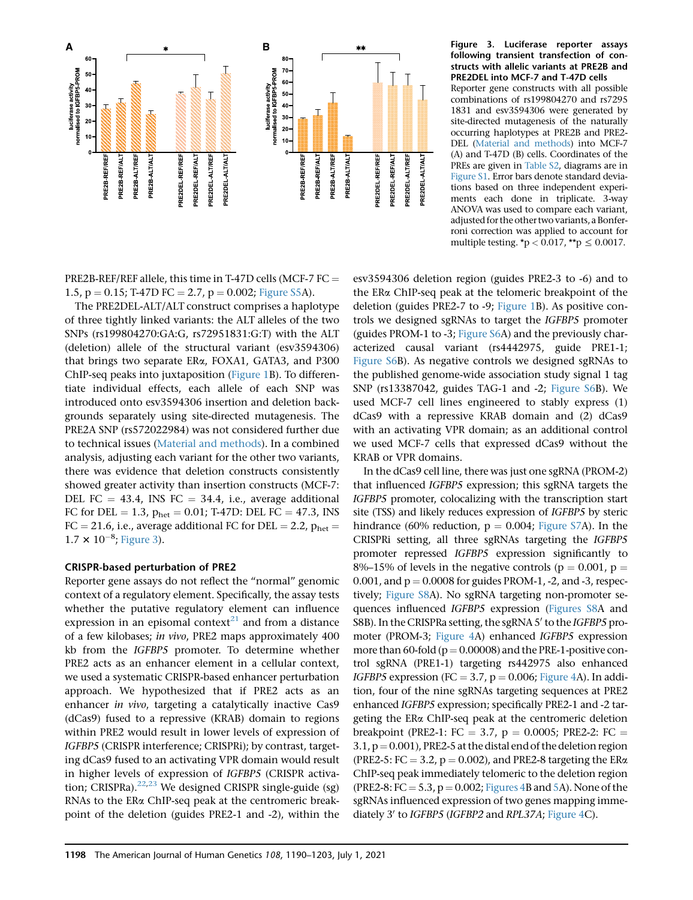

following transient transfection of constructs with allelic variants at PRE2B and PRE2DEL into MCF-7 and T-47D cells Reporter gene constructs with all possible combinations of rs199804270 and rs7295 1831 and esv3594306 were generated by site-directed mutagenesis of the naturally occurring haplotypes at PRE2B and PRE2- DEL (Material and methods) into MCF-7 (A) and T-47D (B) cells. Coordinates of the PREs are given in Table S2, diagrams are in Figure S1. Error bars denote standard deviations based on three independent experiments each done in triplicate. 3-way ANOVA was used to compare each variant, adjusted for the other two variants, a Bonferroni correction was applied to account for multiple testing.  $\mathbf{\dot{p}} < 0.017$ ,  $\mathbf{\dot{p}} \leq 0.0017$ .

PRE2B-REF/REF allele, this time in T-47D cells (MCF-7 FC  $=$ 1.5,  $p = 0.15$ ; T-47D FC = 2.7,  $p = 0.002$ ; Figure S5A).

The PRE2DEL-ALT/ALT construct comprises a haplotype of three tightly linked variants: the ALT alleles of the two SNPs (rs199804270:GA:G, rs72951831:G:T) with the ALT (deletion) allele of the structural variant (esv3594306) that brings two separate ERa, FOXA1, GATA3, and P300 ChIP-seq peaks into juxtaposition (Figure 1B). To differentiate individual effects, each allele of each SNP was introduced onto esv3594306 insertion and deletion backgrounds separately using site-directed mutagenesis. The PRE2A SNP (rs572022984) was not considered further due to technical issues (Material and methods). In a combined analysis, adjusting each variant for the other two variants, there was evidence that deletion constructs consistently showed greater activity than insertion constructs (MCF-7: DEL FC = 43.4, INS FC = 34.4, i.e., average additional FC for DEL = 1.3,  $p_{het} = 0.01$ ; T-47D: DEL FC = 47.3, INS  $FC = 21.6$ , i.e., average additional FC for DEL = 2.2,  $p_{\text{het}} =$  $1.7 \times 10^{-8}$ ; Figure 3).

## CRISPR-based perturbation of PRE2

Reporter gene assays do not reflect the ''normal'' genomic context of a regulatory element. Specifically, the assay tests whether the putative regulatory element can influence expression in an episomal context<sup>21</sup> and from a distance of a few kilobases; in vivo, PRE2 maps approximately 400 kb from the IGFBP5 promoter. To determine whether PRE2 acts as an enhancer element in a cellular context, we used a systematic CRISPR-based enhancer perturbation approach. We hypothesized that if PRE2 acts as an enhancer in vivo, targeting a catalytically inactive Cas9 (dCas9) fused to a repressive (KRAB) domain to regions within PRE2 would result in lower levels of expression of IGFBP5 (CRISPR interference; CRISPRi); by contrast, targeting dCas9 fused to an activating VPR domain would result in higher levels of expression of IGFBP5 (CRISPR activation; CRISPRa). $22,23$  We designed CRISPR single-guide (sg) RNAs to the ERa ChIP-seq peak at the centromeric breakpoint of the deletion (guides PRE2-1 and -2), within the

esv3594306 deletion region (guides PRE2-3 to -6) and to the ERa ChIP-seq peak at the telomeric breakpoint of the deletion (guides PRE2-7 to -9; Figure 1B). As positive controls we designed sgRNAs to target the IGFBP5 promoter (guides PROM-1 to -3; Figure S6A) and the previously characterized causal variant (rs4442975, guide PRE1-1; Figure S6B). As negative controls we designed sgRNAs to the published genome-wide association study signal 1 tag SNP (rs13387042, guides TAG-1 and -2; Figure S6B). We used MCF-7 cell lines engineered to stably express (1) dCas9 with a repressive KRAB domain and (2) dCas9 with an activating VPR domain; as an additional control we used MCF-7 cells that expressed dCas9 without the KRAB or VPR domains.

In the dCas9 cell line, there was just one sgRNA (PROM-2) that influenced IGFBP5 expression; this sgRNA targets the IGFBP5 promoter, colocalizing with the transcription start site (TSS) and likely reduces expression of IGFBP5 by steric hindrance (60% reduction,  $p = 0.004$ ; Figure S7A). In the CRISPRi setting, all three sgRNAs targeting the IGFBP5 promoter repressed IGFBP5 expression significantly to 8%–15% of levels in the negative controls ( $p = 0.001$ ,  $p =$  $0.001$ , and  $p = 0.0008$  for guides PROM-1, -2, and -3, respectively; Figure S8A). No sgRNA targeting non-promoter sequences influenced IGFBP5 expression (Figures S8A and S8B). In the CRISPRa setting, the sgRNA 5' to the IGFBP5 promoter (PROM-3; Figure 4A) enhanced IGFBP5 expression more than 60-fold ( $p = 0.00008$ ) and the PRE-1-positive control sgRNA (PRE1-1) targeting rs442975 also enhanced IGFBP5 expression (FC = 3.7,  $p = 0.006$ ; Figure 4A). In addition, four of the nine sgRNAs targeting sequences at PRE2 enhanced IGFBP5 expression; specifically PRE2-1 and -2 targeting the ERa ChIP-seq peak at the centromeric deletion breakpoint (PRE2-1: FC = 3.7, p = 0.0005; PRE2-2: FC =  $3.1$ ,  $p = 0.001$ ), PRE2-5 at the distal end of the deletion region (PRE2-5: FC = 3.2,  $p = 0.002$ ), and PRE2-8 targeting the ER $\alpha$ ChIP-seq peak immediately telomeric to the deletion region (PRE2-8:  $FC = 5.3$ ,  $p = 0.002$ ; Figures 4B and 5A). None of the sgRNAs influenced expression of two genes mapping immediately 3' to IGFBP5 (IGFBP2 and RPL37A; Figure 4C).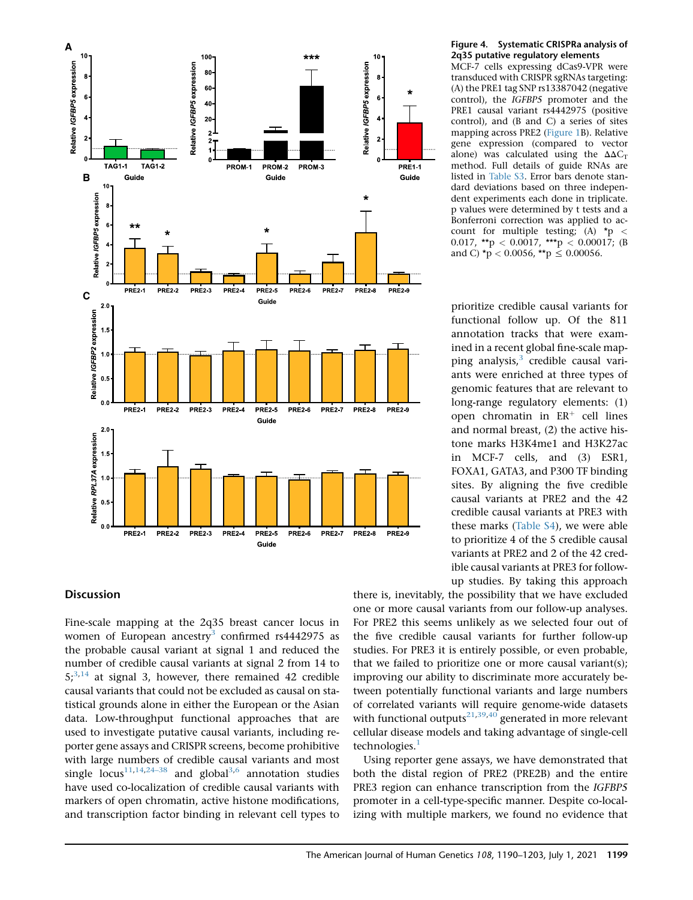

## **Discussion**

Fine-scale mapping at the 2q35 breast cancer locus in women of European ancestry<sup>3</sup> confirmed rs4442975 as the probable causal variant at signal 1 and reduced the number of credible causal variants at signal 2 from 14 to  $5$ ;<sup>3,14</sup> at signal 3, however, there remained 42 credible causal variants that could not be excluded as causal on statistical grounds alone in either the European or the Asian data. Low-throughput functional approaches that are used to investigate putative causal variants, including reporter gene assays and CRISPR screens, become prohibitive with large numbers of credible causal variants and most single  $\text{locus}^{11,14,24-38}$  and global<sup>3,6</sup> annotation studies have used co-localization of credible causal variants with markers of open chromatin, active histone modifications, and transcription factor binding in relevant cell types to

#### Figure 4. Systematic CRISPRa analysis of 2q35 putative regulatory elements

MCF-7 cells expressing dCas9-VPR were transduced with CRISPR sgRNAs targeting: (A) the PRE1 tag SNP rs13387042 (negative control), the IGFBP5 promoter and the PRE1 causal variant rs4442975 (positive control), and (B and C) a series of sites mapping across PRE2 (Figure 1B). Relative gene expression (compared to vector alone) was calculated using the  $\Delta\Delta C_T$ method. Full details of guide RNAs are listed in Table S3. Error bars denote standard deviations based on three independent experiments each done in triplicate. p values were determined by t tests and a Bonferroni correction was applied to account for multiple testing; (A) \*p < 0.017, \*\*p < 0.0017, \*\*\*p < 0.00017; (B and C) \*p < 0.0056, \*\*p  $\leq$  0.00056.

prioritize credible causal variants for functional follow up. Of the 811 annotation tracks that were examined in a recent global fine-scale mapping analysis, $3$  credible causal variants were enriched at three types of genomic features that are relevant to long-range regulatory elements: (1) open chromatin in  $ER^+$  cell lines and normal breast, (2) the active histone marks H3K4me1 and H3K27ac in MCF-7 cells, and (3) ESR1, FOXA1, GATA3, and P300 TF binding sites. By aligning the five credible causal variants at PRE2 and the 42 credible causal variants at PRE3 with these marks (Table S4), we were able to prioritize 4 of the 5 credible causal variants at PRE2 and 2 of the 42 credible causal variants at PRE3 for followup studies. By taking this approach

there is, inevitably, the possibility that we have excluded one or more causal variants from our follow-up analyses. For PRE2 this seems unlikely as we selected four out of the five credible causal variants for further follow-up studies. For PRE3 it is entirely possible, or even probable, that we failed to prioritize one or more causal variant(s); improving our ability to discriminate more accurately between potentially functional variants and large numbers of correlated variants will require genome-wide datasets with functional outputs $^{21,39,40}$  generated in more relevant cellular disease models and taking advantage of single-cell technologies.<sup>1</sup>

Using reporter gene assays, we have demonstrated that both the distal region of PRE2 (PRE2B) and the entire PRE3 region can enhance transcription from the IGFBP5 promoter in a cell-type-specific manner. Despite co-localizing with multiple markers, we found no evidence that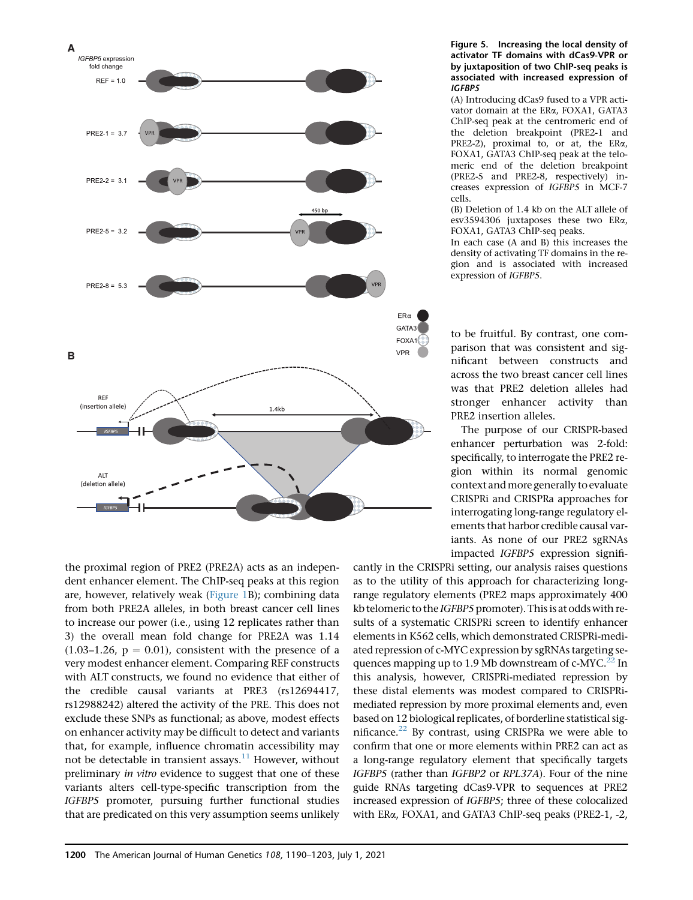

the proximal region of PRE2 (PRE2A) acts as an independent enhancer element. The ChIP-seq peaks at this region are, however, relatively weak (Figure 1B); combining data from both PRE2A alleles, in both breast cancer cell lines to increase our power (i.e., using 12 replicates rather than 3) the overall mean fold change for PRE2A was 1.14  $(1.03-1.26, p = 0.01)$ , consistent with the presence of a very modest enhancer element. Comparing REF constructs with ALT constructs, we found no evidence that either of the credible causal variants at PRE3 (rs12694417, rs12988242) altered the activity of the PRE. This does not exclude these SNPs as functional; as above, modest effects on enhancer activity may be difficult to detect and variants that, for example, influence chromatin accessibility may not be detectable in transient assays.<sup>11</sup> However, without preliminary in vitro evidence to suggest that one of these variants alters cell-type-specific transcription from the IGFBP5 promoter, pursuing further functional studies that are predicated on this very assumption seems unlikely

#### Figure 5. Increasing the local density of activator TF domains with dCas9-VPR or by juxtaposition of two ChIP-seq peaks is associated with increased expression of IGFBP5

(A) Introducing dCas9 fused to a VPR activator domain at the ERa, FOXA1, GATA3 ChIP-seq peak at the centromeric end of the deletion breakpoint (PRE2-1 and PRE2-2), proximal to, or at, the ERa, FOXA1, GATA3 ChIP-seq peak at the telomeric end of the deletion breakpoint (PRE2-5 and PRE2-8, respectively) increases expression of IGFBP5 in MCF-7 cells.

(B) Deletion of 1.4 kb on the ALT allele of esv3594306 juxtaposes these two ERa, FOXA1, GATA3 ChIP-seq peaks.

In each case (A and B) this increases the density of activating TF domains in the region and is associated with increased expression of IGFBP5.

to be fruitful. By contrast, one comparison that was consistent and significant between constructs and across the two breast cancer cell lines was that PRE2 deletion alleles had stronger enhancer activity than PRE2 insertion alleles.

The purpose of our CRISPR-based enhancer perturbation was 2-fold: specifically, to interrogate the PRE2 region within its normal genomic context andmore generally to evaluate CRISPRi and CRISPRa approaches for interrogating long-range regulatory elements that harbor credible causal variants. As none of our PRE2 sgRNAs impacted IGFBP5 expression signifi-

cantly in the CRISPRi setting, our analysis raises questions as to the utility of this approach for characterizing longrange regulatory elements (PRE2 maps approximately 400 kb telomeric to the IGFBP5 promoter). This is at odds with results of a systematic CRISPRi screen to identify enhancer elements in K562 cells, which demonstrated CRISPRi-mediated repression of c-MYC expression by sgRNAs targeting sequences mapping up to 1.9 Mb downstream of  $c-MYC<sup>22</sup>$  In this analysis, however, CRISPRi-mediated repression by these distal elements was modest compared to CRISPRimediated repression by more proximal elements and, even based on 12 biological replicates, of borderline statistical significance. $22$  By contrast, using CRISPRa we were able to confirm that one or more elements within PRE2 can act as a long-range regulatory element that specifically targets IGFBP5 (rather than IGFBP2 or RPL37A). Four of the nine guide RNAs targeting dCas9-VPR to sequences at PRE2 increased expression of IGFBP5; three of these colocalized with ERa, FOXA1, and GATA3 ChIP-seq peaks (PRE2-1, -2,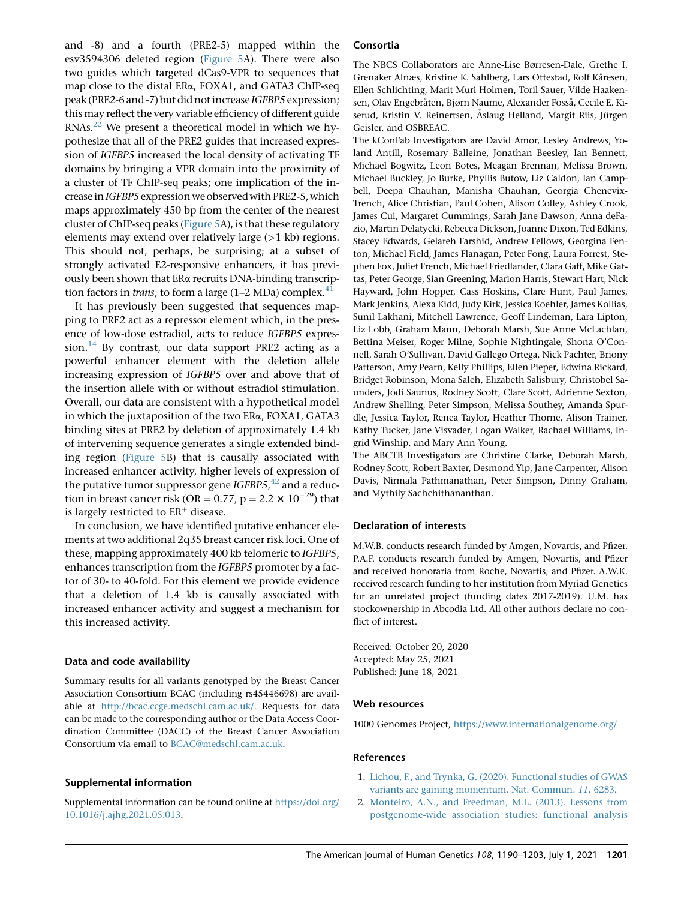and -8) and a fourth (PRE2-5) mapped within the esv3594306 deleted region (Figure 5A). There were also two guides which targeted dCas9-VPR to sequences that map close to the distal ERa, FOXA1, and GATA3 ChIP-seq peak (PRE2-6 and -7) but did not increase IGFBP5 expression; this may reflect the very variable efficiency of different guide RNAs.22 We present a theoretical model in which we hypothesize that all of the PRE2 guides that increased expression of IGFBP5 increased the local density of activating TF domains by bringing a VPR domain into the proximity of a cluster of TF ChIP-seq peaks; one implication of the increase in IGFBP5 expression we observed with PRE2-5, which maps approximately 450 bp from the center of the nearest cluster of ChIP-seq peaks (Figure 5A), is that these regulatory elements may extend over relatively large  $(>1$  kb) regions. This should not, perhaps, be surprising; at a subset of strongly activated E2-responsive enhancers, it has previously been shown that ERa recruits DNA-binding transcription factors in *trans*, to form a large  $(1-2 \text{ MDa})$  complex.<sup>41</sup>

It has previously been suggested that sequences mapping to PRE2 act as a repressor element which, in the presence of low-dose estradiol, acts to reduce IGFBP5 expression.<sup>14</sup> By contrast, our data support PRE2 acting as a powerful enhancer element with the deletion allele increasing expression of IGFBP5 over and above that of the insertion allele with or without estradiol stimulation. Overall, our data are consistent with a hypothetical model in which the juxtaposition of the two ERa, FOXA1, GATA3 binding sites at PRE2 by deletion of approximately 1.4 kb of intervening sequence generates a single extended binding region (Figure 5B) that is causally associated with increased enhancer activity, higher levels of expression of the putative tumor suppressor gene  $IGFBP5, ^{42}$  and a reduction in breast cancer risk (OR =  $0.77$ , p =  $2.2 \times 10^{-29}$ ) that is largely restricted to  $ER^+$  disease.

In conclusion, we have identified putative enhancer elements at two additional 2q35 breast cancer risk loci. One of these, mapping approximately 400 kb telomeric to IGFBP5, enhances transcription from the IGFBP5 promoter by a factor of 30- to 40-fold. For this element we provide evidence that a deletion of 1.4 kb is causally associated with increased enhancer activity and suggest a mechanism for this increased activity.

#### Data and code availability

Summary results for all variants genotyped by the Breast Cancer Association Consortium BCAC (including rs45446698) are available at <http://bcac.ccge.medschl.cam.ac.uk/>. Requests for data can be made to the corresponding author or the Data Access Coordination Committee (DACC) of the Breast Cancer Association Consortium via email to [BCAC@medschl.cam.ac.uk](mailto:BCAC@medschl.cam.ac.uk).

#### Supplemental information

Supplemental information can be found online at [https://doi.org/](https://doi.org/10.1016/j.ajhg.2021.05.013) [10.1016/j.ajhg.2021.05.013](https://doi.org/10.1016/j.ajhg.2021.05.013).

### Consortia

The NBCS Collaborators are Anne-Lise Børresen-Dale, Grethe I. Grenaker Alnæs, Kristine K. Sahlberg, Lars Ottestad, Rolf Kåresen, Ellen Schlichting, Marit Muri Holmen, Toril Sauer, Vilde Haakensen, Olav Engebråten, Bjørn Naume, Alexander Fosså, Cecile E. Kiserud, Kristin V. Reinertsen, Åslaug Helland, Margit Riis, Jürgen Geisler, and OSBREAC.

The kConFab Investigators are David Amor, Lesley Andrews, Yoland Antill, Rosemary Balleine, Jonathan Beesley, Ian Bennett, Michael Bogwitz, Leon Botes, Meagan Brennan, Melissa Brown, Michael Buckley, Jo Burke, Phyllis Butow, Liz Caldon, Ian Campbell, Deepa Chauhan, Manisha Chauhan, Georgia Chenevix-Trench, Alice Christian, Paul Cohen, Alison Colley, Ashley Crook, James Cui, Margaret Cummings, Sarah Jane Dawson, Anna deFazio, Martin Delatycki, Rebecca Dickson, Joanne Dixon, Ted Edkins, Stacey Edwards, Gelareh Farshid, Andrew Fellows, Georgina Fenton, Michael Field, James Flanagan, Peter Fong, Laura Forrest, Stephen Fox, Juliet French, Michael Friedlander, Clara Gaff, Mike Gattas, Peter George, Sian Greening, Marion Harris, Stewart Hart, Nick Hayward, John Hopper, Cass Hoskins, Clare Hunt, Paul James, Mark Jenkins, Alexa Kidd, Judy Kirk, Jessica Koehler, James Kollias, Sunil Lakhani, Mitchell Lawrence, Geoff Lindeman, Lara Lipton, Liz Lobb, Graham Mann, Deborah Marsh, Sue Anne McLachlan, Bettina Meiser, Roger Milne, Sophie Nightingale, Shona O'Connell, Sarah O'Sullivan, David Gallego Ortega, Nick Pachter, Briony Patterson, Amy Pearn, Kelly Phillips, Ellen Pieper, Edwina Rickard, Bridget Robinson, Mona Saleh, Elizabeth Salisbury, Christobel Saunders, Jodi Saunus, Rodney Scott, Clare Scott, Adrienne Sexton, Andrew Shelling, Peter Simpson, Melissa Southey, Amanda Spurdle, Jessica Taylor, Renea Taylor, Heather Thorne, Alison Trainer, Kathy Tucker, Jane Visvader, Logan Walker, Rachael Williams, Ingrid Winship, and Mary Ann Young.

The ABCTB Investigators are Christine Clarke, Deborah Marsh, Rodney Scott, Robert Baxter, Desmond Yip, Jane Carpenter, Alison Davis, Nirmala Pathmanathan, Peter Simpson, Dinny Graham, and Mythily Sachchithananthan.

#### Declaration of interests

M.W.B. conducts research funded by Amgen, Novartis, and Pfizer. P.A.F. conducts research funded by Amgen, Novartis, and Pfizer and received honoraria from Roche, Novartis, and Pfizer. A.W.K. received research funding to her institution from Myriad Genetics for an unrelated project (funding dates 2017-2019). U.M. has stockownership in Abcodia Ltd. All other authors declare no conflict of interest.

Received: October 20, 2020 Accepted: May 25, 2021 Published: June 18, 2021

#### Web resources

1000 Genomes Project, <https://www.internationalgenome.org/>

#### References

- 1. [Lichou, F., and Trynka, G. \(2020\). Functional studies of GWAS](http://refhub.elsevier.com/S0002-9297(21)00218-4/sref1) [variants are gaining momentum. Nat. Commun.](http://refhub.elsevier.com/S0002-9297(21)00218-4/sref1) 11, 6283.
- 2. [Monteiro, A.N., and Freedman, M.L. \(2013\). Lessons from](http://refhub.elsevier.com/S0002-9297(21)00218-4/sref2) [postgenome-wide association studies: functional analysis](http://refhub.elsevier.com/S0002-9297(21)00218-4/sref2)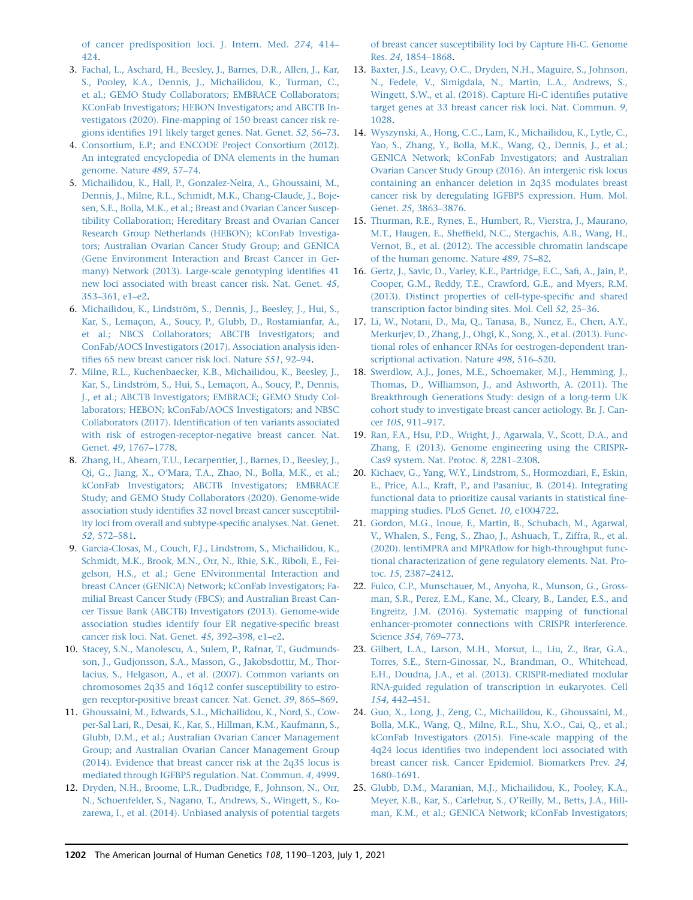[of cancer predisposition loci. J. Intern. Med.](http://refhub.elsevier.com/S0002-9297(21)00218-4/sref2) 274, 414– [424](http://refhub.elsevier.com/S0002-9297(21)00218-4/sref2).

- 3. [Fachal, L., Aschard, H., Beesley, J., Barnes, D.R., Allen, J., Kar,](http://refhub.elsevier.com/S0002-9297(21)00218-4/sref3) [S., Pooley, K.A., Dennis, J., Michailidou, K., Turman, C.,](http://refhub.elsevier.com/S0002-9297(21)00218-4/sref3) [et al.; GEMO Study Collaborators; EMBRACE Collaborators;](http://refhub.elsevier.com/S0002-9297(21)00218-4/sref3) [KConFab Investigators; HEBON Investigators; and ABCTB In](http://refhub.elsevier.com/S0002-9297(21)00218-4/sref3)[vestigators \(2020\). Fine-mapping of 150 breast cancer risk re](http://refhub.elsevier.com/S0002-9297(21)00218-4/sref3)[gions identifies 191 likely target genes. Nat. Genet.](http://refhub.elsevier.com/S0002-9297(21)00218-4/sref3) 52, 56–73.
- 4. [Consortium, E.P.; and ENCODE Project Consortium \(2012\).](http://refhub.elsevier.com/S0002-9297(21)00218-4/sref4) [An integrated encyclopedia of DNA elements in the human](http://refhub.elsevier.com/S0002-9297(21)00218-4/sref4) [genome. Nature](http://refhub.elsevier.com/S0002-9297(21)00218-4/sref4) 489, 57–74.
- 5. [Michailidou, K., Hall, P., Gonzalez-Neira, A., Ghoussaini, M.,](http://refhub.elsevier.com/S0002-9297(21)00218-4/sref5) [Dennis, J., Milne, R.L., Schmidt, M.K., Chang-Claude, J., Boje](http://refhub.elsevier.com/S0002-9297(21)00218-4/sref5)[sen, S.E., Bolla, M.K., et al.; Breast and Ovarian Cancer Suscep](http://refhub.elsevier.com/S0002-9297(21)00218-4/sref5)[tibility Collaboration; Hereditary Breast and Ovarian Cancer](http://refhub.elsevier.com/S0002-9297(21)00218-4/sref5) [Research Group Netherlands \(HEBON\); kConFab Investiga](http://refhub.elsevier.com/S0002-9297(21)00218-4/sref5)[tors; Australian Ovarian Cancer Study Group; and GENICA](http://refhub.elsevier.com/S0002-9297(21)00218-4/sref5) [\(Gene Environment Interaction and Breast Cancer in Ger](http://refhub.elsevier.com/S0002-9297(21)00218-4/sref5)[many\) Network \(2013\). Large-scale genotyping identifies 41](http://refhub.elsevier.com/S0002-9297(21)00218-4/sref5) [new loci associated with breast cancer risk. Nat. Genet.](http://refhub.elsevier.com/S0002-9297(21)00218-4/sref5) 45, [353–361, e1–e2.](http://refhub.elsevier.com/S0002-9297(21)00218-4/sref5)
- 6. Michailidou, K., Lindström, S., Dennis, J., Beesley, J., Hui, S., Kar, S., Lemaçon, A., Soucy, P., Glubb, D., Rostamianfar, A., [et al.; NBCS Collaborators; ABCTB Investigators; and](http://refhub.elsevier.com/S0002-9297(21)00218-4/sref6) [ConFab/AOCS Investigators \(2017\). Association analysis iden](http://refhub.elsevier.com/S0002-9297(21)00218-4/sref6)[tifies 65 new breast cancer risk loci. Nature](http://refhub.elsevier.com/S0002-9297(21)00218-4/sref6) 551, 92–94.
- 7. [Milne, R.L., Kuchenbaecker, K.B., Michailidou, K., Beesley, J.,](http://refhub.elsevier.com/S0002-9297(21)00218-4/sref7) Kar, S., Lindström, S., Hui, S., Lemaçon, A., Soucy, P., Dennis, [J., et al.; ABCTB Investigators; EMBRACE; GEMO Study Col](http://refhub.elsevier.com/S0002-9297(21)00218-4/sref7)[laborators; HEBON; kConFab/AOCS Investigators; and NBSC](http://refhub.elsevier.com/S0002-9297(21)00218-4/sref7) [Collaborators \(2017\). Identification of ten variants associated](http://refhub.elsevier.com/S0002-9297(21)00218-4/sref7) [with risk of estrogen-receptor-negative breast cancer. Nat.](http://refhub.elsevier.com/S0002-9297(21)00218-4/sref7) Genet. 49[, 1767–1778](http://refhub.elsevier.com/S0002-9297(21)00218-4/sref7).
- 8. [Zhang, H., Ahearn, T.U., Lecarpentier, J., Barnes, D., Beesley, J.,](http://refhub.elsevier.com/S0002-9297(21)00218-4/sref8) [Qi, G., Jiang, X., O'Mara, T.A., Zhao, N., Bolla, M.K., et al.;](http://refhub.elsevier.com/S0002-9297(21)00218-4/sref8) [kConFab Investigators; ABCTB Investigators; EMBRACE](http://refhub.elsevier.com/S0002-9297(21)00218-4/sref8) [Study; and GEMO Study Collaborators \(2020\). Genome-wide](http://refhub.elsevier.com/S0002-9297(21)00218-4/sref8) [association study identifies 32 novel breast cancer susceptibil](http://refhub.elsevier.com/S0002-9297(21)00218-4/sref8)[ity loci from overall and subtype-specific analyses. Nat. Genet.](http://refhub.elsevier.com/S0002-9297(21)00218-4/sref8) 52[, 572–581](http://refhub.elsevier.com/S0002-9297(21)00218-4/sref8).
- 9. [Garcia-Closas, M., Couch, F.J., Lindstrom, S., Michailidou, K.,](http://refhub.elsevier.com/S0002-9297(21)00218-4/sref9) [Schmidt, M.K., Brook, M.N., Orr, N., Rhie, S.K., Riboli, E., Fei](http://refhub.elsevier.com/S0002-9297(21)00218-4/sref9)[gelson, H.S., et al.; Gene ENvironmental Interaction and](http://refhub.elsevier.com/S0002-9297(21)00218-4/sref9) [breast CAncer \(GENICA\) Network; kConFab Investigators; Fa](http://refhub.elsevier.com/S0002-9297(21)00218-4/sref9)[milial Breast Cancer Study \(FBCS\); and Australian Breast Can](http://refhub.elsevier.com/S0002-9297(21)00218-4/sref9)[cer Tissue Bank \(ABCTB\) Investigators \(2013\). Genome-wide](http://refhub.elsevier.com/S0002-9297(21)00218-4/sref9) [association studies identify four ER negative-specific breast](http://refhub.elsevier.com/S0002-9297(21)00218-4/sref9) [cancer risk loci. Nat. Genet.](http://refhub.elsevier.com/S0002-9297(21)00218-4/sref9) 45, 392–398, e1–e2.
- 10. [Stacey, S.N., Manolescu, A., Sulem, P., Rafnar, T., Gudmunds](http://refhub.elsevier.com/S0002-9297(21)00218-4/sref10)[son, J., Gudjonsson, S.A., Masson, G., Jakobsdottir, M., Thor](http://refhub.elsevier.com/S0002-9297(21)00218-4/sref10)[lacius, S., Helgason, A., et al. \(2007\). Common variants on](http://refhub.elsevier.com/S0002-9297(21)00218-4/sref10) [chromosomes 2q35 and 16q12 confer susceptibility to estro](http://refhub.elsevier.com/S0002-9297(21)00218-4/sref10)[gen receptor-positive breast cancer. Nat. Genet.](http://refhub.elsevier.com/S0002-9297(21)00218-4/sref10) 39, 865–869.
- 11. [Ghoussaini, M., Edwards, S.L., Michailidou, K., Nord, S., Cow](http://refhub.elsevier.com/S0002-9297(21)00218-4/sref11)[per-Sal Lari, R., Desai, K., Kar, S., Hillman, K.M., Kaufmann, S.,](http://refhub.elsevier.com/S0002-9297(21)00218-4/sref11) [Glubb, D.M., et al.; Australian Ovarian Cancer Management](http://refhub.elsevier.com/S0002-9297(21)00218-4/sref11) [Group; and Australian Ovarian Cancer Management Group](http://refhub.elsevier.com/S0002-9297(21)00218-4/sref11) [\(2014\). Evidence that breast cancer risk at the 2q35 locus is](http://refhub.elsevier.com/S0002-9297(21)00218-4/sref11) [mediated through IGFBP5 regulation. Nat. Commun.](http://refhub.elsevier.com/S0002-9297(21)00218-4/sref11) 4, 4999.
- 12. [Dryden, N.H., Broome, L.R., Dudbridge, F., Johnson, N., Orr,](http://refhub.elsevier.com/S0002-9297(21)00218-4/sref12) [N., Schoenfelder, S., Nagano, T., Andrews, S., Wingett, S., Ko](http://refhub.elsevier.com/S0002-9297(21)00218-4/sref12)[zarewa, I., et al. \(2014\). Unbiased analysis of potential targets](http://refhub.elsevier.com/S0002-9297(21)00218-4/sref12)

[of breast cancer susceptibility loci by Capture Hi-C. Genome](http://refhub.elsevier.com/S0002-9297(21)00218-4/sref12) Res. 24[, 1854–1868.](http://refhub.elsevier.com/S0002-9297(21)00218-4/sref12)

- 13. [Baxter, J.S., Leavy, O.C., Dryden, N.H., Maguire, S., Johnson,](http://refhub.elsevier.com/S0002-9297(21)00218-4/sref13) [N., Fedele, V., Simigdala, N., Martin, L.A., Andrews, S.,](http://refhub.elsevier.com/S0002-9297(21)00218-4/sref13) [Wingett, S.W., et al. \(2018\). Capture Hi-C identifies putative](http://refhub.elsevier.com/S0002-9297(21)00218-4/sref13) [target genes at 33 breast cancer risk loci. Nat. Commun.](http://refhub.elsevier.com/S0002-9297(21)00218-4/sref13) 9, [1028](http://refhub.elsevier.com/S0002-9297(21)00218-4/sref13).
- 14. [Wyszynski, A., Hong, C.C., Lam, K., Michailidou, K., Lytle, C.,](http://refhub.elsevier.com/S0002-9297(21)00218-4/sref14) [Yao, S., Zhang, Y., Bolla, M.K., Wang, Q., Dennis, J., et al.;](http://refhub.elsevier.com/S0002-9297(21)00218-4/sref14) [GENICA Network; kConFab Investigators; and Australian](http://refhub.elsevier.com/S0002-9297(21)00218-4/sref14) [Ovarian Cancer Study Group \(2016\). An intergenic risk locus](http://refhub.elsevier.com/S0002-9297(21)00218-4/sref14) [containing an enhancer deletion in 2q35 modulates breast](http://refhub.elsevier.com/S0002-9297(21)00218-4/sref14) [cancer risk by deregulating IGFBP5 expression. Hum. Mol.](http://refhub.elsevier.com/S0002-9297(21)00218-4/sref14) Genet. 25[, 3863–3876.](http://refhub.elsevier.com/S0002-9297(21)00218-4/sref14)
- 15. [Thurman, R.E., Rynes, E., Humbert, R., Vierstra, J., Maurano,](http://refhub.elsevier.com/S0002-9297(21)00218-4/sref15) [M.T., Haugen, E., Sheffield, N.C., Stergachis, A.B., Wang, H.,](http://refhub.elsevier.com/S0002-9297(21)00218-4/sref15) [Vernot, B., et al. \(2012\). The accessible chromatin landscape](http://refhub.elsevier.com/S0002-9297(21)00218-4/sref15) [of the human genome. Nature](http://refhub.elsevier.com/S0002-9297(21)00218-4/sref15) 489, 75–82.
- 16. [Gertz, J., Savic, D., Varley, K.E., Partridge, E.C., Safi, A., Jain, P.,](http://refhub.elsevier.com/S0002-9297(21)00218-4/sref16) [Cooper, G.M., Reddy, T.E., Crawford, G.E., and Myers, R.M.](http://refhub.elsevier.com/S0002-9297(21)00218-4/sref16) [\(2013\). Distinct properties of cell-type-specific and shared](http://refhub.elsevier.com/S0002-9297(21)00218-4/sref16) [transcription factor binding sites. Mol. Cell](http://refhub.elsevier.com/S0002-9297(21)00218-4/sref16) 52, 25–36.
- 17. [Li, W., Notani, D., Ma, Q., Tanasa, B., Nunez, E., Chen, A.Y.,](http://refhub.elsevier.com/S0002-9297(21)00218-4/sref17) [Merkurjev, D., Zhang, J., Ohgi, K., Song, X., et al. \(2013\). Func](http://refhub.elsevier.com/S0002-9297(21)00218-4/sref17)[tional roles of enhancer RNAs for oestrogen-dependent tran](http://refhub.elsevier.com/S0002-9297(21)00218-4/sref17)[scriptional activation. Nature](http://refhub.elsevier.com/S0002-9297(21)00218-4/sref17) 498, 516–520.
- 18. [Swerdlow, A.J., Jones, M.E., Schoemaker, M.J., Hemming, J.,](http://refhub.elsevier.com/S0002-9297(21)00218-4/sref18) [Thomas, D., Williamson, J., and Ashworth, A. \(2011\). The](http://refhub.elsevier.com/S0002-9297(21)00218-4/sref18) [Breakthrough Generations Study: design of a long-term UK](http://refhub.elsevier.com/S0002-9297(21)00218-4/sref18) [cohort study to investigate breast cancer aetiology. Br. J. Can](http://refhub.elsevier.com/S0002-9297(21)00218-4/sref18)cer 105[, 911–917](http://refhub.elsevier.com/S0002-9297(21)00218-4/sref18).
- 19. [Ran, F.A., Hsu, P.D., Wright, J., Agarwala, V., Scott, D.A., and](http://refhub.elsevier.com/S0002-9297(21)00218-4/sref19) [Zhang, F. \(2013\). Genome engineering using the CRISPR-](http://refhub.elsevier.com/S0002-9297(21)00218-4/sref19)[Cas9 system. Nat. Protoc.](http://refhub.elsevier.com/S0002-9297(21)00218-4/sref19) 8, 2281–2308.
- 20. [Kichaev, G., Yang, W.Y., Lindstrom, S., Hormozdiari, F., Eskin,](http://refhub.elsevier.com/S0002-9297(21)00218-4/sref20) [E., Price, A.L., Kraft, P., and Pasaniuc, B. \(2014\). Integrating](http://refhub.elsevier.com/S0002-9297(21)00218-4/sref20) [functional data to prioritize causal variants in statistical fine](http://refhub.elsevier.com/S0002-9297(21)00218-4/sref20)[mapping studies. PLoS Genet.](http://refhub.elsevier.com/S0002-9297(21)00218-4/sref20) 10, e1004722.
- 21. [Gordon, M.G., Inoue, F., Martin, B., Schubach, M., Agarwal,](http://refhub.elsevier.com/S0002-9297(21)00218-4/sref21) [V., Whalen, S., Feng, S., Zhao, J., Ashuach, T., Ziffra, R., et al.](http://refhub.elsevier.com/S0002-9297(21)00218-4/sref21) [\(2020\). lentiMPRA and MPRAflow for high-throughput func](http://refhub.elsevier.com/S0002-9297(21)00218-4/sref21)[tional characterization of gene regulatory elements. Nat. Pro](http://refhub.elsevier.com/S0002-9297(21)00218-4/sref21)toc. 15[, 2387–2412.](http://refhub.elsevier.com/S0002-9297(21)00218-4/sref21)
- 22. [Fulco, C.P., Munschauer, M., Anyoha, R., Munson, G., Gross](http://refhub.elsevier.com/S0002-9297(21)00218-4/sref22)[man, S.R., Perez, E.M., Kane, M., Cleary, B., Lander, E.S., and](http://refhub.elsevier.com/S0002-9297(21)00218-4/sref22) [Engreitz, J.M. \(2016\). Systematic mapping of functional](http://refhub.elsevier.com/S0002-9297(21)00218-4/sref22) [enhancer-promoter connections with CRISPR interference.](http://refhub.elsevier.com/S0002-9297(21)00218-4/sref22) Science 354[, 769–773.](http://refhub.elsevier.com/S0002-9297(21)00218-4/sref22)
- 23. [Gilbert, L.A., Larson, M.H., Morsut, L., Liu, Z., Brar, G.A.,](http://refhub.elsevier.com/S0002-9297(21)00218-4/sref23) [Torres, S.E., Stern-Ginossar, N., Brandman, O., Whitehead,](http://refhub.elsevier.com/S0002-9297(21)00218-4/sref23) [E.H., Doudna, J.A., et al. \(2013\). CRISPR-mediated modular](http://refhub.elsevier.com/S0002-9297(21)00218-4/sref23) [RNA-guided regulation of transcription in eukaryotes. Cell](http://refhub.elsevier.com/S0002-9297(21)00218-4/sref23) 154[, 442–451](http://refhub.elsevier.com/S0002-9297(21)00218-4/sref23).
- 24. [Guo, X., Long, J., Zeng, C., Michailidou, K., Ghoussaini, M.,](http://refhub.elsevier.com/S0002-9297(21)00218-4/sref24) [Bolla, M.K., Wang, Q., Milne, R.L., Shu, X.O., Cai, Q., et al.;](http://refhub.elsevier.com/S0002-9297(21)00218-4/sref24) [kConFab Investigators \(2015\). Fine-scale mapping of the](http://refhub.elsevier.com/S0002-9297(21)00218-4/sref24) [4q24 locus identifies two independent loci associated with](http://refhub.elsevier.com/S0002-9297(21)00218-4/sref24) [breast cancer risk. Cancer Epidemiol. Biomarkers Prev.](http://refhub.elsevier.com/S0002-9297(21)00218-4/sref24) 24, [1680–1691](http://refhub.elsevier.com/S0002-9297(21)00218-4/sref24).
- 25. [Glubb, D.M., Maranian, M.J., Michailidou, K., Pooley, K.A.,](http://refhub.elsevier.com/S0002-9297(21)00218-4/sref25) [Meyer, K.B., Kar, S., Carlebur, S., O'Reilly, M., Betts, J.A., Hill](http://refhub.elsevier.com/S0002-9297(21)00218-4/sref25)[man, K.M., et al.; GENICA Network; kConFab Investigators;](http://refhub.elsevier.com/S0002-9297(21)00218-4/sref25)